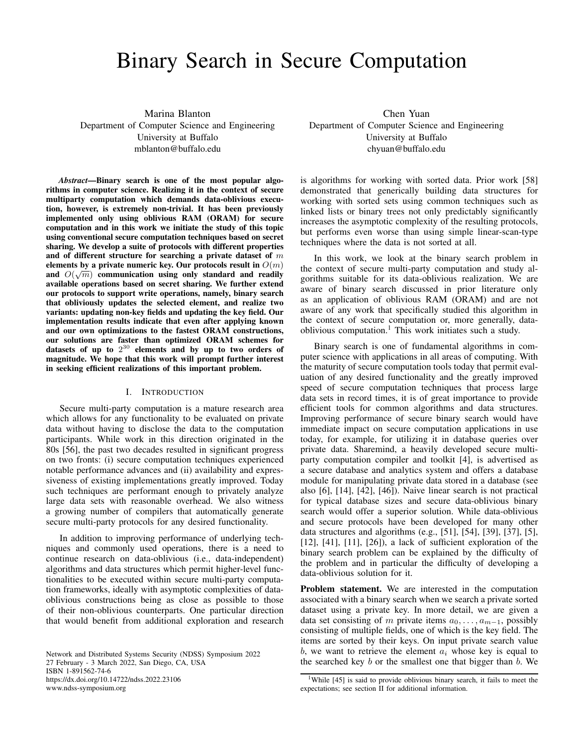# Binary Search in Secure Computation

Marina Blanton

Department of Computer Science and Engineering University at Buffalo mblanton@buffalo.edu

*Abstract*—Binary search is one of the most popular algorithms in computer science. Realizing it in the context of secure multiparty computation which demands data-oblivious execution, however, is extremely non-trivial. It has been previously implemented only using oblivious RAM (ORAM) for secure computation and in this work we initiate the study of this topic using conventional secure computation techniques based on secret sharing. We develop a suite of protocols with different properties and of different structure for searching a private dataset of  $m$ elements by a private numeric key. Our protocols result in  $O(m)$ and  $O(\sqrt{m})$  communication using only standard and readily available operations based on secret sharing. We further extend our protocols to support write operations, namely, binary search that obliviously updates the selected element, and realize two variants: updating non-key fields and updating the key field. Our implementation results indicate that even after applying known and our own optimizations to the fastest ORAM constructions, our solutions are faster than optimized ORAM schemes for datasets of up to  $2^{30}$  elements and by up to two orders of magnitude. We hope that this work will prompt further interest in seeking efficient realizations of this important problem.

## I. INTRODUCTION

Secure multi-party computation is a mature research area which allows for any functionality to be evaluated on private data without having to disclose the data to the computation participants. While work in this direction originated in the 80s [56], the past two decades resulted in significant progress on two fronts: (i) secure computation techniques experienced notable performance advances and (ii) availability and expressiveness of existing implementations greatly improved. Today such techniques are performant enough to privately analyze large data sets with reasonable overhead. We also witness a growing number of compilers that automatically generate secure multi-party protocols for any desired functionality.

In addition to improving performance of underlying techniques and commonly used operations, there is a need to continue research on data-oblivious (i.e., data-independent) algorithms and data structures which permit higher-level functionalities to be executed within secure multi-party computation frameworks, ideally with asymptotic complexities of dataoblivious constructions being as close as possible to those of their non-oblivious counterparts. One particular direction that would benefit from additional exploration and research

Network and Distributed Systems Security (NDSS) Symposium 2022 27 February - 3 March 2022, San Diego, CA, USA ISBN 1-891562-74-6 https://dx.doi.org/10.14722/ndss.2022.23106 www.ndss-symposium.org

Chen Yuan Department of Computer Science and Engineering University at Buffalo chyuan@buffalo.edu

is algorithms for working with sorted data. Prior work [58] demonstrated that generically building data structures for working with sorted sets using common techniques such as linked lists or binary trees not only predictably significantly increases the asymptotic complexity of the resulting protocols, but performs even worse than using simple linear-scan-type techniques where the data is not sorted at all.

In this work, we look at the binary search problem in the context of secure multi-party computation and study algorithms suitable for its data-oblivious realization. We are aware of binary search discussed in prior literature only as an application of oblivious RAM (ORAM) and are not aware of any work that specifically studied this algorithm in the context of secure computation or, more generally, dataoblivious computation.<sup>1</sup> This work initiates such a study.

Binary search is one of fundamental algorithms in computer science with applications in all areas of computing. With the maturity of secure computation tools today that permit evaluation of any desired functionality and the greatly improved speed of secure computation techniques that process large data sets in record times, it is of great importance to provide efficient tools for common algorithms and data structures. Improving performance of secure binary search would have immediate impact on secure computation applications in use today, for example, for utilizing it in database queries over private data. Sharemind, a heavily developed secure multiparty computation compiler and toolkit [4], is advertised as a secure database and analytics system and offers a database module for manipulating private data stored in a database (see also [6], [14], [42], [46]). Naive linear search is not practical for typical database sizes and secure data-oblivious binary search would offer a superior solution. While data-oblivious and secure protocols have been developed for many other data structures and algorithms (e.g., [51], [54], [39], [37], [5], [12], [41], [11], [26]), a lack of sufficient exploration of the binary search problem can be explained by the difficulty of the problem and in particular the difficulty of developing a data-oblivious solution for it.

Problem statement. We are interested in the computation associated with a binary search when we search a private sorted dataset using a private key. In more detail, we are given a data set consisting of m private items  $a_0, \ldots, a_{m-1}$ , possibly consisting of multiple fields, one of which is the key field. The items are sorted by their keys. On input private search value b, we want to retrieve the element  $a_i$  whose key is equal to the searched key  $b$  or the smallest one that bigger than  $b$ . We

<sup>&</sup>lt;sup>1</sup>While [45] is said to provide oblivious binary search, it fails to meet the expectations; see section II for additional information.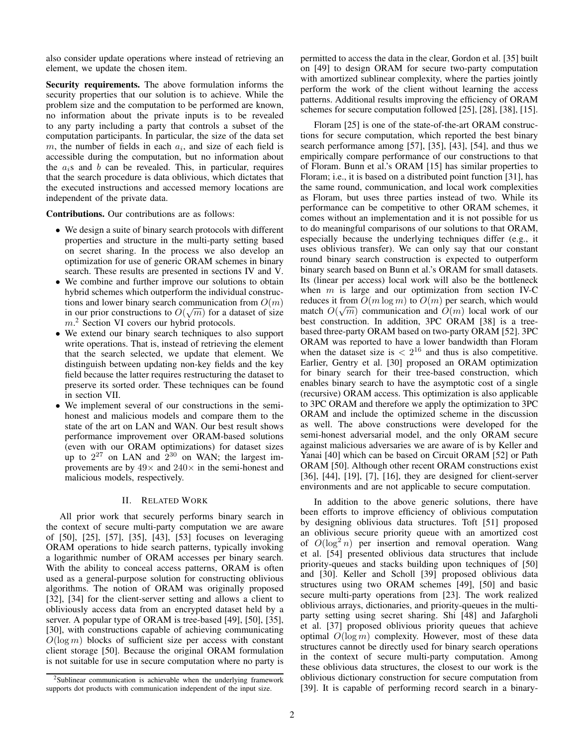also consider update operations where instead of retrieving an element, we update the chosen item.

Security requirements. The above formulation informs the security properties that our solution is to achieve. While the problem size and the computation to be performed are known, no information about the private inputs is to be revealed to any party including a party that controls a subset of the computation participants. In particular, the size of the data set m, the number of fields in each  $a_i$ , and size of each field is accessible during the computation, but no information about the  $a_i$ s and b can be revealed. This, in particular, requires that the search procedure is data oblivious, which dictates that the executed instructions and accessed memory locations are independent of the private data.

Contributions. Our contributions are as follows:

- We design a suite of binary search protocols with different properties and structure in the multi-party setting based on secret sharing. In the process we also develop an optimization for use of generic ORAM schemes in binary search. These results are presented in sections IV and V.
- We combine and further improve our solutions to obtain hybrid schemes which outperform the individual constructions and lower binary search communication from  $O(m)$ in our prior constructions to  $O(\sqrt{m})$  for a dataset of size  $m<sup>2</sup>$  Section VI covers our hybrid protocols.
- We extend our binary search techniques to also support write operations. That is, instead of retrieving the element that the search selected, we update that element. We distinguish between updating non-key fields and the key field because the latter requires restructuring the dataset to preserve its sorted order. These techniques can be found in section VII.
- We implement several of our constructions in the semihonest and malicious models and compare them to the state of the art on LAN and WAN. Our best result shows performance improvement over ORAM-based solutions (even with our ORAM optimizations) for dataset sizes up to  $2^{27}$  on LAN and  $2^{30}$  on WAN; the largest improvements are by  $49\times$  and  $240\times$  in the semi-honest and malicious models, respectively.

# II. RELATED WORK

All prior work that securely performs binary search in the context of secure multi-party computation we are aware of [50], [25], [57], [35], [43], [53] focuses on leveraging ORAM operations to hide search patterns, typically invoking a logarithmic number of ORAM accesses per binary search. With the ability to conceal access patterns, ORAM is often used as a general-purpose solution for constructing oblivious algorithms. The notion of ORAM was originally proposed [32], [34] for the client-server setting and allows a client to obliviously access data from an encrypted dataset held by a server. A popular type of ORAM is tree-based [49], [50], [35], [30], with constructions capable of achieving communicating  $O(\log m)$  blocks of sufficient size per access with constant client storage [50]. Because the original ORAM formulation is not suitable for use in secure computation where no party is

permitted to access the data in the clear, Gordon et al. [35] built on [49] to design ORAM for secure two-party computation with amortized sublinear complexity, where the parties jointly perform the work of the client without learning the access patterns. Additional results improving the efficiency of ORAM schemes for secure computation followed [25], [28], [38], [15].

Floram [25] is one of the state-of-the-art ORAM constructions for secure computation, which reported the best binary search performance among [57], [35], [43], [54], and thus we empirically compare performance of our constructions to that of Floram. Bunn et al.'s ORAM [15] has similar properties to Floram; i.e., it is based on a distributed point function [31], has the same round, communication, and local work complexities as Floram, but uses three parties instead of two. While its performance can be competitive to other ORAM schemes, it comes without an implementation and it is not possible for us to do meaningful comparisons of our solutions to that ORAM, especially because the underlying techniques differ (e.g., it uses oblivious transfer). We can only say that our constant round binary search construction is expected to outperform binary search based on Bunn et al.'s ORAM for small datasets. Its (linear per access) local work will also be the bottleneck when  $m$  is large and our optimization from section IV-C reduces it from  $O(m \log m)$  to  $O(m)$  per search, which would match  $O(\sqrt{m})$  communication and  $O(m)$  local work of our best construction. In addition, 3PC ORAM [38] is a treebased three-party ORAM based on two-party ORAM [52]. 3PC ORAM was reported to have a lower bandwidth than Floram when the dataset size is  $\langle 2^{16} \rangle$  and thus is also competitive. Earlier, Gentry et al. [30] proposed an ORAM optimization for binary search for their tree-based construction, which enables binary search to have the asymptotic cost of a single (recursive) ORAM access. This optimization is also applicable to 3PC ORAM and therefore we apply the optimization to 3PC ORAM and include the optimized scheme in the discussion as well. The above constructions were developed for the semi-honest adversarial model, and the only ORAM secure against malicious adversaries we are aware of is by Keller and Yanai [40] which can be based on Circuit ORAM [52] or Path ORAM [50]. Although other recent ORAM constructions exist [36], [44], [19], [7], [16], they are designed for client-server environments and are not applicable to secure computation.

In addition to the above generic solutions, there have been efforts to improve efficiency of oblivious computation by designing oblivious data structures. Toft [51] proposed an oblivious secure priority queue with an amortized cost of  $O(\log^2 n)$  per insertion and removal operation. Wang et al. [54] presented oblivious data structures that include priority-queues and stacks building upon techniques of [50] and [30]. Keller and Scholl [39] proposed oblivious data structures using two ORAM schemes [49], [50] and basic secure multi-party operations from [23]. The work realized oblivious arrays, dictionaries, and priority-queues in the multiparty setting using secret sharing. Shi [48] and Jafargholi et al. [37] proposed oblivious priority queues that achieve optimal  $O(\log m)$  complexity. However, most of these data structures cannot be directly used for binary search operations in the context of secure multi-party computation. Among these oblivious data structures, the closest to our work is the oblivious dictionary construction for secure computation from [39]. It is capable of performing record search in a binary-

<sup>&</sup>lt;sup>2</sup>Sublinear communication is achievable when the underlying framework supports dot products with communication independent of the input size.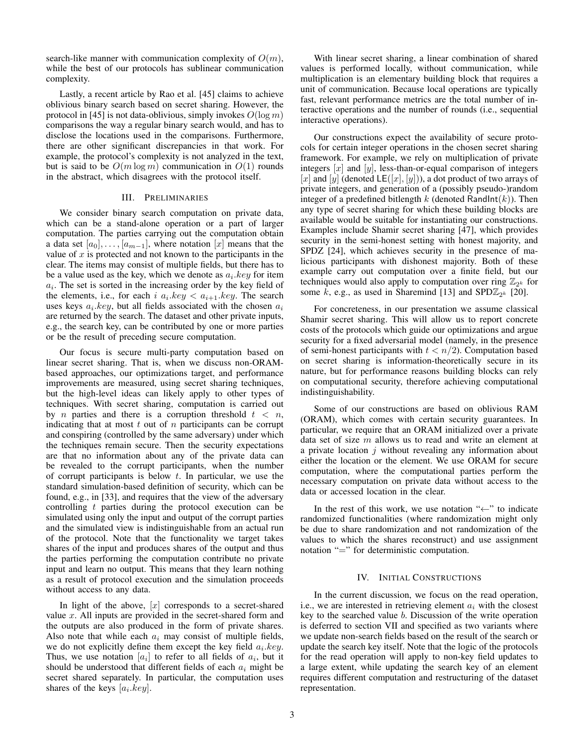search-like manner with communication complexity of  $O(m)$ , while the best of our protocols has sublinear communication complexity.

Lastly, a recent article by Rao et al. [45] claims to achieve oblivious binary search based on secret sharing. However, the protocol in [45] is not data-oblivious, simply invokes  $O(\log m)$ comparisons the way a regular binary search would, and has to disclose the locations used in the comparisons. Furthermore, there are other significant discrepancies in that work. For example, the protocol's complexity is not analyzed in the text, but is said to be  $O(m \log m)$  communication in  $O(1)$  rounds in the abstract, which disagrees with the protocol itself.

# III. PRELIMINARIES

We consider binary search computation on private data, which can be a stand-alone operation or a part of larger computation. The parties carrying out the computation obtain a data set  $[a_0], \ldots, [a_{m-1}],$  where notation  $[x]$  means that the value of  $x$  is protected and not known to the participants in the clear. The items may consist of multiple fields, but there has to be a value used as the key, which we denote as  $a_i \, key$  for item  $a_i$ . The set is sorted in the increasing order by the key field of the elements, i.e., for each i  $a_i \text{.} key < a_{i+1} \text{.} key$ . The search uses keys  $a_i \, key$ , but all fields associated with the chosen  $a_i$ are returned by the search. The dataset and other private inputs, e.g., the search key, can be contributed by one or more parties or be the result of preceding secure computation.

Our focus is secure multi-party computation based on linear secret sharing. That is, when we discuss non-ORAMbased approaches, our optimizations target, and performance improvements are measured, using secret sharing techniques, but the high-level ideas can likely apply to other types of techniques. With secret sharing, computation is carried out by *n* parties and there is a corruption threshold  $t < n$ , indicating that at most  $t$  out of  $n$  participants can be corrupt and conspiring (controlled by the same adversary) under which the techniques remain secure. Then the security expectations are that no information about any of the private data can be revealed to the corrupt participants, when the number of corrupt participants is below  $t$ . In particular, we use the standard simulation-based definition of security, which can be found, e.g., in [33], and requires that the view of the adversary controlling  $t$  parties during the protocol execution can be simulated using only the input and output of the corrupt parties and the simulated view is indistinguishable from an actual run of the protocol. Note that the functionality we target takes shares of the input and produces shares of the output and thus the parties performing the computation contribute no private input and learn no output. This means that they learn nothing as a result of protocol execution and the simulation proceeds without access to any data.

In light of the above,  $[x]$  corresponds to a secret-shared value  $x$ . All inputs are provided in the secret-shared form and the outputs are also produced in the form of private shares. Also note that while each  $a_i$  may consist of multiple fields, we do not explicitly define them except the key field  $a_i. key.$ Thus, we use notation  $[a_i]$  to refer to all fields of  $a_i$ , but it should be understood that different fields of each  $a_i$  might be secret shared separately. In particular, the computation uses shares of the keys  $[a_i \cdot key]$ .

With linear secret sharing, a linear combination of shared values is performed locally, without communication, while multiplication is an elementary building block that requires a unit of communication. Because local operations are typically fast, relevant performance metrics are the total number of interactive operations and the number of rounds (i.e., sequential interactive operations).

Our constructions expect the availability of secure protocols for certain integer operations in the chosen secret sharing framework. For example, we rely on multiplication of private integers  $[x]$  and  $[y]$ , less-than-or-equal comparison of integers [x] and [y] (denoted  $LE([x], [y])$ ), a dot product of two arrays of private integers, and generation of a (possibly pseudo-)random integer of a predefined bitlength k (denoted RandInt $(k)$ ). Then any type of secret sharing for which these building blocks are available would be suitable for instantiating our constructions. Examples include Shamir secret sharing [47], which provides security in the semi-honest setting with honest majority, and SPDZ [24], which achieves security in the presence of malicious participants with dishonest majority. Both of these example carry out computation over a finite field, but our techniques would also apply to computation over ring  $\mathbb{Z}_{2^k}$  for some  $\vec{k}$ , e.g., as used in Sharemind [13] and SPD $\mathbb{Z}_{2^k}$  [20].

For concreteness, in our presentation we assume classical Shamir secret sharing. This will allow us to report concrete costs of the protocols which guide our optimizations and argue security for a fixed adversarial model (namely, in the presence of semi-honest participants with  $t < n/2$ ). Computation based on secret sharing is information-theoretically secure in its nature, but for performance reasons building blocks can rely on computational security, therefore achieving computational indistinguishability.

Some of our constructions are based on oblivious RAM (ORAM), which comes with certain security guarantees. In particular, we require that an ORAM initialized over a private data set of size m allows us to read and write an element at a private location  $j$  without revealing any information about either the location or the element. We use ORAM for secure computation, where the computational parties perform the necessary computation on private data without access to the data or accessed location in the clear.

In the rest of this work, we use notation "←" to indicate randomized functionalities (where randomization might only be due to share randomization and not randomization of the values to which the shares reconstruct) and use assignment notation "=" for deterministic computation.

## IV. INITIAL CONSTRUCTIONS

In the current discussion, we focus on the read operation, i.e., we are interested in retrieving element  $a_i$  with the closest key to the searched value b. Discussion of the write operation is deferred to section VII and specified as two variants where we update non-search fields based on the result of the search or update the search key itself. Note that the logic of the protocols for the read operation will apply to non-key field updates to a large extent, while updating the search key of an element requires different computation and restructuring of the dataset representation.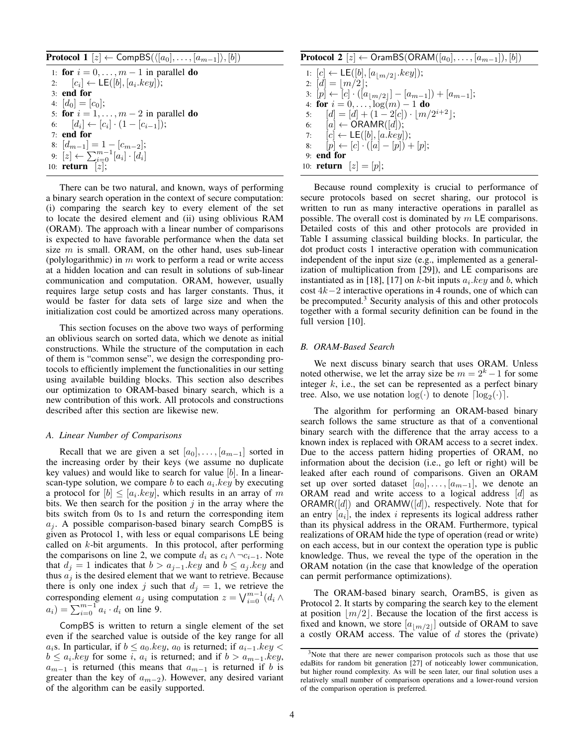| <b>Protocol 1</b> $[z] \leftarrow \text{CompBS}(\langle [a_0], \ldots, [a_{m-1}]\rangle, [b])$ |  |  |  |  |  |  |
|------------------------------------------------------------------------------------------------|--|--|--|--|--|--|
|------------------------------------------------------------------------------------------------|--|--|--|--|--|--|

1: for  $i = 0, \ldots, m - 1$  in parallel do 2:  $[c_i] \leftarrow \mathsf{LE}([b], [a_i. key]);$ 3: end for 4:  $[d_0] = [c_0]$ ; 5: for  $i = 1, \ldots, m - 2$  in parallel do 6:  $[d_i] \leftarrow [c_i] \cdot (1 - [c_{i-1}])$ ; 7: end for 8:  $[d_{m-1}] = 1 - [c_{m-2}]$ ; 9:  $[z] \leftarrow \sum_{i=0}^{m-1} [a_i] \cdot [d_i]$ 10: **return**  $[z]$ ;

There can be two natural, and known, ways of performing a binary search operation in the context of secure computation: (i) comparing the search key to every element of the set to locate the desired element and (ii) using oblivious RAM (ORAM). The approach with a linear number of comparisons is expected to have favorable performance when the data set size  $m$  is small. ORAM, on the other hand, uses sub-linear (polylogarithmic) in  $m$  work to perform a read or write access at a hidden location and can result in solutions of sub-linear communication and computation. ORAM, however, usually requires large setup costs and has larger constants. Thus, it would be faster for data sets of large size and when the initialization cost could be amortized across many operations.

This section focuses on the above two ways of performing an oblivious search on sorted data, which we denote as initial constructions. While the structure of the computation in each of them is "common sense", we design the corresponding protocols to efficiently implement the functionalities in our setting using available building blocks. This section also describes our optimization to ORAM-based binary search, which is a new contribution of this work. All protocols and constructions described after this section are likewise new.

## *A. Linear Number of Comparisons*

Recall that we are given a set  $[a_0], \ldots, [a_{m-1}]$  sorted in the increasing order by their keys (we assume no duplicate key values) and would like to search for value  $[b]$ . In a linearscan-type solution, we compare  $b$  to each  $a_i \, key$  by executing a protocol for  $[b] \leq [a_i \text{.} key]$ , which results in an array of m bits. We then search for the position  $j$  in the array where the bits switch from 0s to 1s and return the corresponding item  $a_i$ . A possible comparison-based binary search CompBS is given as Protocol 1, with less or equal comparisons LE being called on  $k$ -bit arguments. In this protocol, after performing the comparisons on line 2, we compute  $d_i$  as  $c_i \wedge \neg c_{i-1}$ . Note that  $d_i = 1$  indicates that  $b > a_{i-1}$  key and  $b \le a_i$  key and thus  $a_i$  is the desired element that we want to retrieve. Because there is only one index j such that  $d_j = 1$ , we retrieve the corresponding element  $a_j$  using computation  $z = \bigvee_{i=0}^{m-1} (d_i \wedge$  $a_i$ ) =  $\sum_{i=0}^{m-1} a_i \cdot d_i$  on line 9.

CompBS is written to return a single element of the set even if the searched value is outside of the key range for all a<sub>i</sub>s. In particular, if  $b \le a_0 \text{.} key, a_0$  is returned; if  $a_{i-1} \text{.} key < b_i$  $b \le a_i \; key \; for \; some \; i, \; a_i \; is \; returned; \; and \; if \; b > a_{m-1} \; key,$  $a_{m-1}$  is returned (this means that  $a_{m-1}$  is returned if b is greater than the key of  $a_{m-2}$ ). However, any desired variant of the algorithm can be easily supported.

# **Protocol 2**  $[z] \leftarrow$  OramBS(ORAM( $[a_0], \ldots, [a_{m-1}], [b]$ )

1:  $[c] \leftarrow \mathsf{LE}([b], [a_{\lfloor m/2 \rfloor}.key])$ ; 2:  $[d] = |m/2|;$ 3: [p] ← [c] ·  $([a_{\lfloor m/2 \rfloor}]-[a_{m-1}]) + [a_{m-1}];$ 4: for  $i = 0, \ldots, \log(m) - 1$  do 5:  $[d] = [d] + (1 - 2[c]) \cdot [m/2^{i+2}];$ 6:  $[a] \leftarrow \text{ORAMR}([d]);$ 7:  $[c] \leftarrow \mathsf{LE}([b], [a.key]);$ 8:  $[p] \leftarrow [c] \cdot ([a] - [p]) + [p];$ 9: end for 10: **return**  $[z] = [p];$ 

Because round complexity is crucial to performance of secure protocols based on secret sharing, our protocol is written to run as many interactive operations in parallel as possible. The overall cost is dominated by  $m \, \textsf{LE}$  comparisons. Detailed costs of this and other protocols are provided in Table I assuming classical building blocks. In particular, the dot product costs 1 interactive operation with communication independent of the input size (e.g., implemented as a generalization of multiplication from [29]), and LE comparisons are instantiated as in [18], [17] on k-bit inputs  $a_i \, key$  and b, which cost 4k−2 interactive operations in 4 rounds, one of which can be precomputed.<sup>3</sup> Security analysis of this and other protocols together with a formal security definition can be found in the full version [10].

# *B. ORAM-Based Search*

We next discuss binary search that uses ORAM. Unless noted otherwise, we let the array size be  $m = 2<sup>k</sup> - 1$  for some integer  $k$ , i.e., the set can be represented as a perfect binary tree. Also, we use notation  $log(\cdot)$  to denote  $log_2(\cdot)$ .

The algorithm for performing an ORAM-based binary search follows the same structure as that of a conventional binary search with the difference that the array access to a known index is replaced with ORAM access to a secret index. Due to the access pattern hiding properties of ORAM, no information about the decision (i.e., go left or right) will be leaked after each round of comparisons. Given an ORAM set up over sorted dataset  $[a_0], \ldots, [a_{m-1}],$  we denote an ORAM read and write access to a logical address  $[d]$  as  $ORAMR([d])$  and  $ORAMW([d])$ , respectively. Note that for an entry  $[a_i]$ , the index i represents its logical address rather than its physical address in the ORAM. Furthermore, typical realizations of ORAM hide the type of operation (read or write) on each access, but in our context the operation type is public knowledge. Thus, we reveal the type of the operation in the ORAM notation (in the case that knowledge of the operation can permit performance optimizations).

The ORAM-based binary search, OramBS, is given as Protocol 2. It starts by comparing the search key to the element at position  $|m/2|$ . Because the location of the first access is fixed and known, we store  $[a_{m/2}]$  outside of ORAM to save a costly ORAM access. The value of  $d$  stores the (private)

<sup>&</sup>lt;sup>3</sup>Note that there are newer comparison protocols such as those that use edaBits for random bit generation [27] of noticeably lower communication, but higher round complexity. As will be seen later, our final solution uses a relatively small number of comparison operations and a lower-round version of the comparison operation is preferred.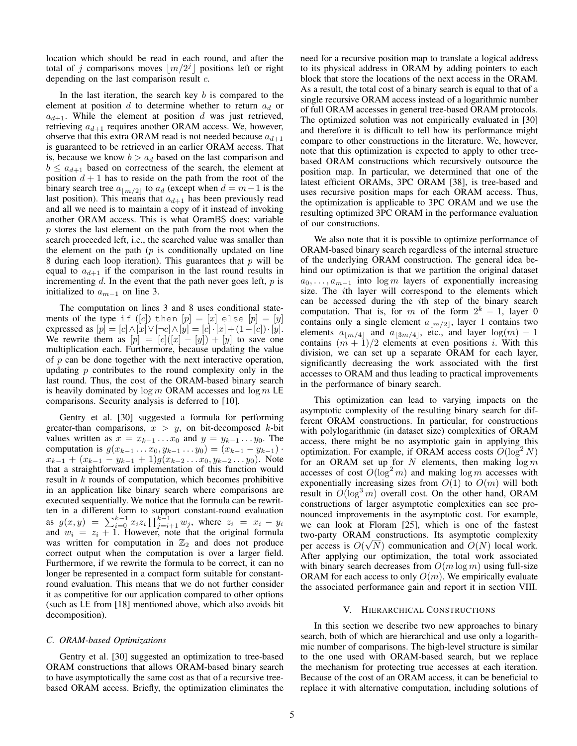location which should be read in each round, and after the total of j comparisons moves  $\lfloor m/2^j \rfloor$  positions left or right depending on the last comparison result  $c$ .

In the last iteration, the search key  $b$  is compared to the element at position d to determine whether to return  $a_d$  or  $a_{d+1}$ . While the element at position d was just retrieved, retrieving  $a_{d+1}$  requires another ORAM access. We, however, observe that this extra ORAM read is not needed because  $a_{d+1}$ is guaranteed to be retrieved in an earlier ORAM access. That is, because we know  $b > a_d$  based on the last comparison and  $b \le a_{d+1}$  based on correctness of the search, the element at position  $d + 1$  has to reside on the path from the root of the binary search tree  $a_{m/2}$  to  $a_d$  (except when  $d = m-1$  is the last position). This means that  $a_{d+1}$  has been previously read and all we need is to maintain a copy of it instead of invoking another ORAM access. This is what OramBS does: variable p stores the last element on the path from the root when the search proceeded left, i.e., the searched value was smaller than the element on the path  $(p$  is conditionally updated on line 8 during each loop iteration). This guarantees that  $p$  will be equal to  $a_{d+1}$  if the comparison in the last round results in incrementing  $d$ . In the event that the path never goes left,  $p$  is initialized to  $a_{m-1}$  on line 3.

The computation on lines 3 and 8 uses conditional statements of the type if  $([c])$  then  $[p] = [x]$  else  $[p] = [y]$ expressed as  $[p] = [c] \wedge [x] \vee [\neg c] \wedge [y] = [c] \cdot [x] + (1 - [c]) \cdot [y].$ We rewrite them as  $[p] = [c]([x] - [y]) + [y]$  to save one multiplication each. Furthermore, because updating the value of  $p$  can be done together with the next interactive operation, updating  $p$  contributes to the round complexity only in the last round. Thus, the cost of the ORAM-based binary search is heavily dominated by  $\log m$  ORAM accesses and  $\log m$  LE comparisons. Security analysis is deferred to [10].

Gentry et al. [30] suggested a formula for performing greater-than comparisons,  $x > y$ , on bit-decomposed k-bit values written as  $x = x_{k-1} \dots x_0$  and  $y = y_{k-1} \dots y_0$ . The computation is  $g(x_{k-1} \ldots x_0, y_{k-1} \ldots y_0) = (x_{k-1} - y_{k-1})$ .  $x_{k-1} + (x_{k-1} - y_{k-1} + 1)g(x_{k-2} \ldots x_0, y_{k-2} \ldots y_0)$ . Note that a straightforward implementation of this function would result in  $k$  rounds of computation, which becomes prohibitive in an application like binary search where comparisons are executed sequentially. We notice that the formula can be rewritten in a different form to support constant-round evaluation as  $g(x, y) = \sum_{i=0}^{k-1} x_i z_i \prod_{j=i+1}^{k-1} w_j$ , where  $z_i = x_i - y_i$ and  $w_i = z_i + 1$ . However, note that the original formula was written for computation in  $\mathbb{Z}_2$  and does not produce correct output when the computation is over a larger field. Furthermore, if we rewrite the formula to be correct, it can no longer be represented in a compact form suitable for constantround evaluation. This means that we do not further consider it as competitive for our application compared to other options (such as LE from [18] mentioned above, which also avoids bit decomposition).

# *C. ORAM-based Optimizations*

Gentry et al. [30] suggested an optimization to tree-based ORAM constructions that allows ORAM-based binary search to have asymptotically the same cost as that of a recursive treebased ORAM access. Briefly, the optimization eliminates the need for a recursive position map to translate a logical address to its physical address in ORAM by adding pointers to each block that store the locations of the next access in the ORAM. As a result, the total cost of a binary search is equal to that of a single recursive ORAM access instead of a logarithmic number of full ORAM accesses in general tree-based ORAM protocols. The optimized solution was not empirically evaluated in [30] and therefore it is difficult to tell how its performance might compare to other constructions in the literature. We, however, note that this optimization is expected to apply to other treebased ORAM constructions which recursively outsource the position map. In particular, we determined that one of the latest efficient ORAMs, 3PC ORAM [38], is tree-based and uses recursive position maps for each ORAM access. Thus, the optimization is applicable to 3PC ORAM and we use the resulting optimized 3PC ORAM in the performance evaluation of our constructions.

We also note that it is possible to optimize performance of ORAM-based binary search regardless of the internal structure of the underlying ORAM construction. The general idea behind our optimization is that we partition the original dataset  $a_0, \ldots, a_{m-1}$  into log m layers of exponentially increasing size. The ith layer will correspond to the elements which can be accessed during the ith step of the binary search computation. That is, for m of the form  $2^k - 1$ , layer 0 contains only a single element  $a_{\lfloor m/2\rfloor}$ , layer 1 contains two elements  $a_{\lfloor m/4\rfloor}$  and  $a_{\lfloor 3m/4\rfloor}$ , etc., and layer  $\log(m) - 1$ contains  $(m + 1)/2$  elements at even positions *i*. With this division, we can set up a separate ORAM for each layer, significantly decreasing the work associated with the first accesses to ORAM and thus leading to practical improvements in the performance of binary search.

This optimization can lead to varying impacts on the asymptotic complexity of the resulting binary search for different ORAM constructions. In particular, for constructions with polylogarithmic (in dataset size) complexities of ORAM access, there might be no asymptotic gain in applying this optimization. For example, if ORAM access costs  $O(\log^2 N)$ for an ORAM set up for N elements, then making  $\log m$ accesses of cost  $O(\log^2 m)$  and making  $\log m$  accesses with exponentially increasing sizes from  $O(1)$  to  $O(m)$  will both result in  $O(\log^3 m)$  overall cost. On the other hand, ORAM constructions of larger asymptotic complexities can see pronounced improvements in the asymptotic cost. For example, we can look at Floram [25], which is one of the fastest two-party ORAM constructions. Its asymptotic complexity per access is  $O(\sqrt{N})$  communication and  $O(N)$  local work. After applying our optimization, the total work associated with binary search decreases from  $O(m \log m)$  using full-size ORAM for each access to only  $O(m)$ . We empirically evaluate the associated performance gain and report it in section VIII.

## V. HIERARCHICAL CONSTRUCTIONS

In this section we describe two new approaches to binary search, both of which are hierarchical and use only a logarithmic number of comparisons. The high-level structure is similar to the one used with ORAM-based search, but we replace the mechanism for protecting true accesses at each iteration. Because of the cost of an ORAM access, it can be beneficial to replace it with alternative computation, including solutions of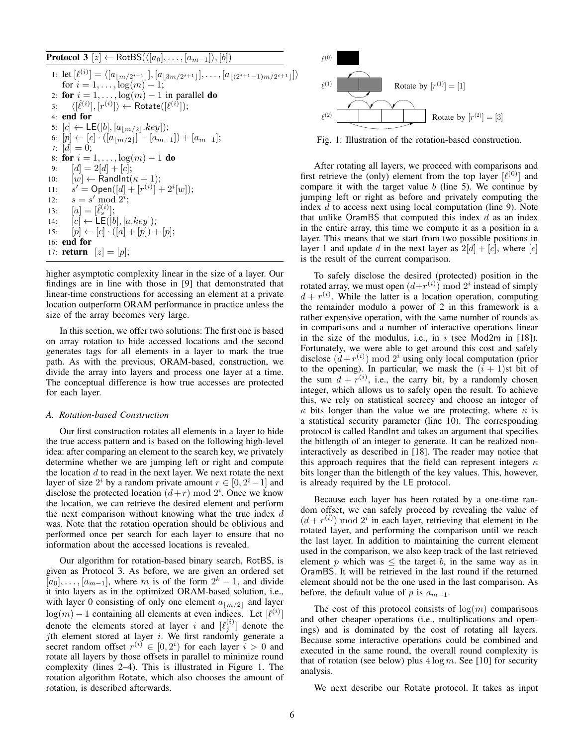**Protocol 3**  $[z] \leftarrow \text{RotBS}(\langle [a_0], \ldots, [a_{m-1}]\rangle, [b])$ 1: let  $[\ell^{(i)}] = \langle [a_{\lfloor m/2^{i+1} \rfloor}], [a_{\lfloor 3m/2^{i+1} \rfloor}], \ldots, [a_{\lfloor (2^{i+1}-1)m/2^{i+1} \rfloor}] \rangle$ for  $i = 1, ..., \log(m) - 1$ ; 2: for  $i = 1, \ldots, \log(m) - 1$  in parallel do 3:  $\langle [\hat{\ell}^{(i)}], [r^{(i)}] \rangle \leftarrow \mathsf{Rotate}([\ell^{(i)}]);$ 4: end for 5:  $[c] \leftarrow \mathsf{LE}([b], [a_{\lfloor m/2 \rfloor}.key]);$ 6:  $[p] \leftarrow [c] \cdot ( [a_{\lfloor m/2 \rfloor}] - [a_{m-1}]) + [a_{m-1}];$ 7:  $[d] = 0;$ 8: **for**  $i = 1, ..., \log(m) - 1$  **do** 9:  $[d] = 2[d] + [c];$ 10:  $[w] \leftarrow \text{RandInt}(\kappa + 1);$ 11:  $s' = \text{Open}([d] + [r^{(i)}] + 2^i[w])$ ; 12:  $s = s' \bmod 2^{i}$ ; 13:  $[a] = [\hat{\ell}_s^{(i)}];$ 14:  $[c] \leftarrow \mathsf{LE}([b], [a.key]);$ 15:  $[p] \leftarrow [c] \cdot ([a] + [p]) + [p];$ 16: end for 17: **return**  $[z] = [p];$ 

higher asymptotic complexity linear in the size of a layer. Our findings are in line with those in [9] that demonstrated that linear-time constructions for accessing an element at a private location outperform ORAM performance in practice unless the size of the array becomes very large.

In this section, we offer two solutions: The first one is based on array rotation to hide accessed locations and the second generates tags for all elements in a layer to mark the true path. As with the previous, ORAM-based, construction, we divide the array into layers and process one layer at a time. The conceptual difference is how true accesses are protected for each layer.

## *A. Rotation-based Construction*

Our first construction rotates all elements in a layer to hide the true access pattern and is based on the following high-level idea: after comparing an element to the search key, we privately determine whether we are jumping left or right and compute the location  $d$  to read in the next layer. We next rotate the next layer of size  $2^i$  by a random private amount  $r \in [0, 2^i - 1]$  and disclose the protected location  $(d+r) \bmod 2^i$ . Once we know the location, we can retrieve the desired element and perform the next comparison without knowing what the true index  $d$ was. Note that the rotation operation should be oblivious and performed once per search for each layer to ensure that no information about the accessed locations is revealed.

Our algorithm for rotation-based binary search, RotBS, is given as Protocol 3. As before, we are given an ordered set  $[a_0], \ldots, [a_{m-1}]$ , where m is of the form  $2^k - 1$ , and divide it into layers as in the optimized ORAM-based solution, i.e., with layer 0 consisting of only one element  $a_{\lfloor m/2\rfloor}$  and layer  $log(m) - 1$  containing all elements at even indices. Let  $[\ell^{(i)}]$ denote the elements stored at layer i and  $[\ell_j^{(i)}]$  denote the jth element stored at layer  $i$ . We first randomly generate a secret random offset  $r^{(i)} \in [0, 2^i)$  for each layer  $i > 0$  and rotate all layers by those offsets in parallel to minimize round complexity (lines 2–4). This is illustrated in Figure 1. The rotation algorithm Rotate, which also chooses the amount of rotation, is described afterwards.



Fig. 1: Illustration of the rotation-based construction.

After rotating all layers, we proceed with comparisons and first retrieve the (only) element from the top layer  $[\ell^{(0)}]$  and compare it with the target value  $b$  (line 5). We continue by jumping left or right as before and privately computing the index  $d$  to access next using local computation (line 9). Note that unlike OramBS that computed this index  $d$  as an index in the entire array, this time we compute it as a position in a layer. This means that we start from two possible positions in layer 1 and update d in the next layer as  $2[d] + [c]$ , where  $[c]$ is the result of the current comparison.

To safely disclose the desired (protected) position in the rotated array, we must open  $(d+r^{(i)})$  mod  $2^i$  instead of simply  $d + r^{(i)}$ . While the latter is a location operation, computing the remainder modulo a power of 2 in this framework is a rather expensive operation, with the same number of rounds as in comparisons and a number of interactive operations linear in the size of the modulus, i.e., in  $i$  (see Mod2m in [18]). Fortunately, we were able to get around this cost and safely disclose  $(d+r^{(i)}) \mod 2^i$  using only local computation (prior to the opening). In particular, we mask the  $(i + 1)$ st bit of the sum  $d + r^{(i)}$ , i.e., the carry bit, by a randomly chosen integer, which allows us to safely open the result. To achieve this, we rely on statistical secrecy and choose an integer of  $\kappa$  bits longer than the value we are protecting, where  $\kappa$  is a statistical security parameter (line 10). The corresponding protocol is called RandInt and takes an argument that specifies the bitlength of an integer to generate. It can be realized noninteractively as described in [18]. The reader may notice that this approach requires that the field can represent integers  $\kappa$ bits longer than the bitlength of the key values. This, however, is already required by the LE protocol.

Because each layer has been rotated by a one-time random offset, we can safely proceed by revealing the value of  $(d + r^{(i)}) \mod 2^i$  in each layer, retrieving that element in the rotated layer, and performing the comparison until we reach the last layer. In addition to maintaining the current element used in the comparison, we also keep track of the last retrieved element p which was  $\leq$  the target b, in the same way as in OramBS. It will be retrieved in the last round if the returned element should not be the one used in the last comparison. As before, the default value of p is  $a_{m-1}$ .

The cost of this protocol consists of  $log(m)$  comparisons and other cheaper operations (i.e., multiplications and openings) and is dominated by the cost of rotating all layers. Because some interactive operations could be combined and executed in the same round, the overall round complexity is that of rotation (see below) plus  $4 \log m$ . See [10] for security analysis.

We next describe our Rotate protocol. It takes as input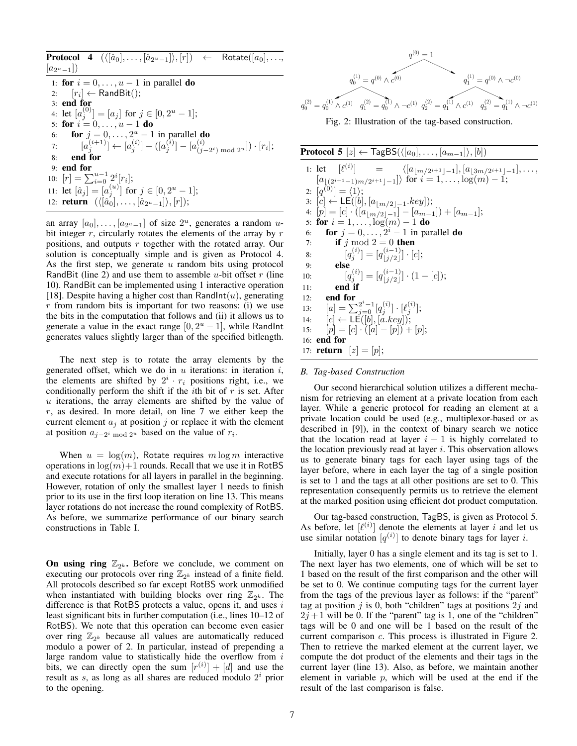|    | $\textbf{Protocol} \quad \textbf{4} \quad (\langle [\hat{a}_0], \dots, [\hat{a}_{2^u-1}]\rangle, [r]) \quad \leftarrow \quad \textsf{Rotate}([a_0], \dots,$ |
|----|-------------------------------------------------------------------------------------------------------------------------------------------------------------|
|    | $ a_{2^u-1} $                                                                                                                                               |
|    | 1: for $i = 0, \ldots, u-1$ in parallel do                                                                                                                  |
|    | 2: $[r_i] \leftarrow \text{RandBit}$ ;                                                                                                                      |
|    | $3:$ end for                                                                                                                                                |
|    | 4: let $[a_j^{(0)}] = [a_j]$ for $j \in [0, 2^u - 1]$ ;                                                                                                     |
|    | 5: for $i = 0, , u - 1$ do                                                                                                                                  |
|    | 6: <b>for</b> $j = 0, , 2^u - 1$ in parallel <b>do</b>                                                                                                      |
|    | 7: $[a_i^{(i+1)}] \leftarrow [a_i^{(i)}] - ([a_j^{(i)}] - [a_{(i-2^i) \bmod 2^u}^{(i)}]) \cdot [r_i];$                                                      |
| 8: | end for                                                                                                                                                     |
|    | $9:$ end for                                                                                                                                                |
|    | 10: $[r] = \sum_{i=0}^{u-1} 2^i [r_i];$                                                                                                                     |
|    | 11: let $[\hat{a}_j] = [a_j^{(u)}]$ for $j \in [0, 2^u - 1]$ ;                                                                                              |
|    | 12: <b>return</b> $(\langle [\hat{a}_0], \ldots, [\hat{a}_{2^u-1}] \rangle, [r]);$                                                                          |

an array  $[a_0], \ldots, [a_{2^u-1}]$  of size  $2^u$ , generates a random ubit integer  $r$ , circularly rotates the elements of the array by  $r$ positions, and outputs  $r$  together with the rotated array. Our solution is conceptually simple and is given as Protocol 4. As the first step, we generate  $u$  random bits using protocol RandBit (line 2) and use them to assemble u-bit offset  $r$  (line 10). RandBit can be implemented using 1 interactive operation [18]. Despite having a higher cost than RandInt $(u)$ , generating  $r$  from random bits is important for two reasons: (i) we use the bits in the computation that follows and (ii) it allows us to generate a value in the exact range  $[0, 2<sup>u</sup> - 1]$ , while RandInt generates values slightly larger than of the specified bitlength.

The next step is to rotate the array elements by the generated offset, which we do in  $u$  iterations: in iteration  $i$ , the elements are shifted by  $2^i \cdot r_i$  positions right, i.e., we conditionally perform the shift if the *i*th bit of  $r$  is set. After  $u$  iterations, the array elements are shifted by the value of  $r$ , as desired. In more detail, on line 7 we either keep the current element  $a_i$  at position j or replace it with the element at position  $a_{j-2^i \mod 2^n}$  based on the value of  $r_i$ .

When  $u = \log(m)$ , Rotate requires  $m \log m$  interactive operations in  $log(m) + 1$  rounds. Recall that we use it in RotBS and execute rotations for all layers in parallel in the beginning. However, rotation of only the smallest layer 1 needs to finish prior to its use in the first loop iteration on line 13. This means layer rotations do not increase the round complexity of RotBS. As before, we summarize performance of our binary search constructions in Table I.

On using ring  $\mathbb{Z}_{2^k}$ . Before we conclude, we comment on executing our protocols over ring  $\mathbb{Z}_{2^k}$  instead of a finite field. All protocols described so far except RotBS work unmodified when instantiated with building blocks over ring  $\mathbb{Z}_{2^k}$ . The difference is that RotBS protects a value, opens it, and uses  $i$ least significant bits in further computation (i.e., lines 10–12 of RotBS). We note that this operation can become even easier over ring  $\mathbb{Z}_{2^k}$  because all values are automatically reduced modulo a power of 2. In particular, instead of prepending a large random value to statistically hide the overflow from i bits, we can directly open the sum  $[r^{(i)}] + [d]$  and use the result as  $s$ , as long as all shares are reduced modulo  $2<sup>i</sup>$  prior to the opening.



Fig. 2: Illustration of the tag-based construction.

**Protocol 5**  $[z] \leftarrow \text{TagBS}(\langle [a_0], \ldots, [a_{m-1}]\rangle, [b])$ 1: let  $[\ell^{(i)}]$  =  $\langle [a_{\lfloor m/2^{i+1}\rfloor -1}], [a_{\lfloor 3m/2^{i+1}\rfloor -1}], \ldots,$  $[a_{(2^{i+1}-1)m/2^{i+1}-1}]$  for  $i = 1, \ldots, \log(m) - 1;$ 2:  $[q^{(0)}] = \langle 1 \rangle;$ 3: [c] ← LE([b], [ $a_{\lfloor m/2\rfloor - 1}$ .key]); 4:  $[p] = [c] \cdot ([a_{\lfloor m/2 \rfloor-1}] - [a_{m-1}]) + [a_{m-1}];$ 5: for  $i = 1, \ldots, \log(m) - 1$  do 6: **for**  $j = 0, \ldots, 2^i - 1$  in parallel **do** 7: if j mod  $2 = 0$  then 8:  $[q_j^{(i)}] = [q_{j/2}^{(i-1)}]$  $\binom{(i-1)}{|j/2|} \cdot [c];$ 9: else 10:  $[q_j^{(i)}] = [q_{j/2}^{(i-1)}]$  $\begin{bmatrix} (i-1) \\ j/2 \end{bmatrix} \cdot (1-[c]);$ 11: end if 12: end for 13:  $[a] = \sum_{j=0}^{2^i-1} [q_j^{(i)}] \cdot [\ell_j^{(i)}];$ 14:  $[c] \leftarrow \mathsf{LE}([b], [a.key])$ ; 15:  $[p] = [c] \cdot ([a] - [p]) + [p];$ 16: end for 17: **return**  $[z] = [p];$ 

# *B. Tag-based Construction*

Our second hierarchical solution utilizes a different mechanism for retrieving an element at a private location from each layer. While a generic protocol for reading an element at a private location could be used (e.g., multiplexor-based or as described in [9]), in the context of binary search we notice that the location read at layer  $i + 1$  is highly correlated to the location previously read at layer  $i$ . This observation allows us to generate binary tags for each layer using tags of the layer before, where in each layer the tag of a single position is set to 1 and the tags at all other positions are set to 0. This representation consequently permits us to retrieve the element at the marked position using efficient dot product computation.

Our tag-based construction, TagBS, is given as Protocol 5. As before, let  $[\ell^{(i)}]$  denote the elements at layer i and let us use similar notation  $[q^{(i)}]$  to denote binary tags for layer i.

Initially, layer 0 has a single element and its tag is set to 1. The next layer has two elements, one of which will be set to 1 based on the result of the first comparison and the other will be set to 0. We continue computing tags for the current layer from the tags of the previous layer as follows: if the "parent" tag at position  $j$  is 0, both "children" tags at positions  $2j$  and  $2j + 1$  will be 0. If the "parent" tag is 1, one of the "children" tags will be 0 and one will be 1 based on the result of the current comparison c. This process is illustrated in Figure 2. Then to retrieve the marked element at the current layer, we compute the dot product of the elements and their tags in the current layer (line 13). Also, as before, we maintain another element in variable  $p$ , which will be used at the end if the result of the last comparison is false.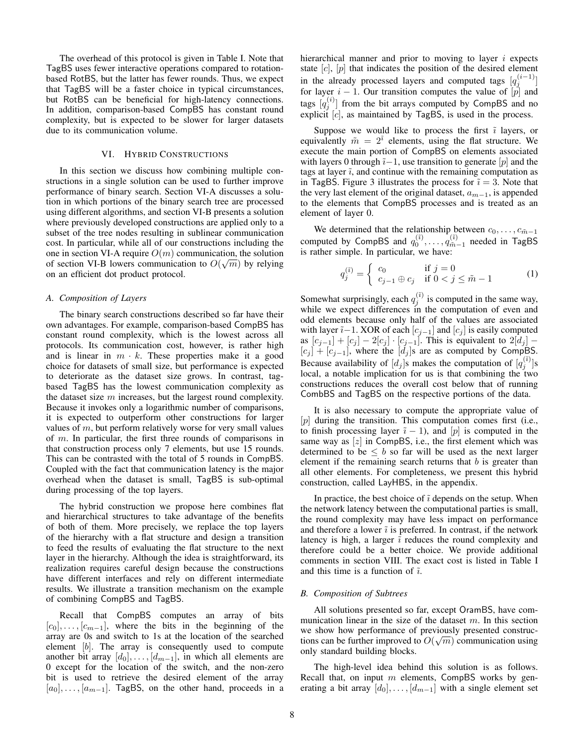The overhead of this protocol is given in Table I. Note that TagBS uses fewer interactive operations compared to rotationbased RotBS, but the latter has fewer rounds. Thus, we expect that TagBS will be a faster choice in typical circumstances, but RotBS can be beneficial for high-latency connections. In addition, comparison-based CompBS has constant round complexity, but is expected to be slower for larger datasets due to its communication volume.

## VI. HYBRID CONSTRUCTIONS

In this section we discuss how combining multiple constructions in a single solution can be used to further improve performance of binary search. Section VI-A discusses a solution in which portions of the binary search tree are processed using different algorithms, and section VI-B presents a solution where previously developed constructions are applied only to a subset of the tree nodes resulting in sublinear communication cost. In particular, while all of our constructions including the one in section VI-A require  $O(m)$  communication, the solution of section VI-B lowers communication to  $O(\sqrt{m})$  by relying on an efficient dot product protocol.

## *A. Composition of Layers*

The binary search constructions described so far have their own advantages. For example, comparison-based CompBS has constant round complexity, which is the lowest across all protocols. Its communication cost, however, is rather high and is linear in  $m \cdot k$ . These properties make it a good choice for datasets of small size, but performance is expected to deteriorate as the dataset size grows. In contrast, tagbased TagBS has the lowest communication complexity as the dataset size  $m$  increases, but the largest round complexity. Because it invokes only a logarithmic number of comparisons, it is expected to outperform other constructions for larger values of  $m$ , but perform relatively worse for very small values of  $m$ . In particular, the first three rounds of comparisons in that construction process only 7 elements, but use 15 rounds. This can be contrasted with the total of 5 rounds in CompBS. Coupled with the fact that communication latency is the major overhead when the dataset is small, TagBS is sub-optimal during processing of the top layers.

The hybrid construction we propose here combines flat and hierarchical structures to take advantage of the benefits of both of them. More precisely, we replace the top layers of the hierarchy with a flat structure and design a transition to feed the results of evaluating the flat structure to the next layer in the hierarchy. Although the idea is straightforward, its realization requires careful design because the constructions have different interfaces and rely on different intermediate results. We illustrate a transition mechanism on the example of combining CompBS and TagBS.

Recall that CompBS computes an array of bits  $[c_0], \ldots, [c_{m-1}]$ , where the bits in the beginning of the array are 0s and switch to 1s at the location of the searched element [b]. The array is consequently used to compute another bit array  $[d_0], \ldots, [d_{m-1}]$ , in which all elements are 0 except for the location of the switch, and the non-zero bit is used to retrieve the desired element of the array  $[a_0], \ldots, [a_{m-1}]$ . TagBS, on the other hand, proceeds in a hierarchical manner and prior to moving to layer  $i$  expects state  $[c]$ ,  $[p]$  that indicates the position of the desired element in the already processed layers and computed tags  $[q_j^{(i-1)}]$ for layer  $i - 1$ . Our transition computes the value of  $[p]$  and tags  $[q_j^{(i)}]$  from the bit arrays computed by CompBS and no explicit  $[c]$ , as maintained by TagBS, is used in the process.

Suppose we would like to process the first  $\tilde{i}$  layers, or equivalently  $\tilde{m} = 2^{\tilde{i}}$  elements, using the flat structure. We execute the main portion of CompBS on elements associated with layers 0 through  $\tilde{i}-1$ , use transition to generate [p] and the tags at layer  $\tilde{i}$ , and continue with the remaining computation as in TagBS. Figure 3 illustrates the process for  $\tilde{i} = 3$ . Note that the very last element of the original dataset,  $a_{m-1}$ , is appended to the elements that CompBS processes and is treated as an element of layer 0.

We determined that the relationship between  $c_0, \ldots, c_{\tilde{m}-1}$ computed by CompBS and  $q_0^{(\tilde{i})}, \ldots, q_{\tilde{m}-1}^{(\tilde{i})}$  needed in TagBS is rather simple. In particular, we have:

$$
q_j^{(\tilde{i})} = \begin{cases} c_0 & \text{if } j = 0\\ c_{j-1} \oplus c_j & \text{if } 0 < j \le \tilde{m} - 1 \end{cases}
$$
 (1)

Somewhat surprisingly, each  $q_j^{(\tilde{i})}$  is computed in the same way, while we expect differences in the computation of even and odd elements because only half of the values are associated with layer  $\tilde{i}-1$ . XOR of each  $[c_{j-1}]$  and  $[c_j]$  is easily computed as  $[c_{j-1}] + [c_j] - 2[c_j] \cdot [c_{j-1}]$ . This is equivalent to  $2[d_j]$  –  $[c_j] + [c_{j-1}]$ , where the  $[d_j]$ s are as computed by CompBS. Because availability of  $[d_j]$ s makes the computation of  $[q_j^{(i)}]$ s local, a notable implication for us is that combining the two constructions reduces the overall cost below that of running CombBS and TagBS on the respective portions of the data.

It is also necessary to compute the appropriate value of [p] during the transition. This computation comes first (i.e., to finish processing layer  $\tilde{i} - 1$ ), and [p] is computed in the same way as  $[z]$  in CompBS, i.e., the first element which was determined to be  $\leq b$  so far will be used as the next larger element if the remaining search returns that  $b$  is greater than all other elements. For completeness, we present this hybrid construction, called LayHBS, in the appendix.

In practice, the best choice of  $\tilde{i}$  depends on the setup. When the network latency between the computational parties is small, the round complexity may have less impact on performance and therefore a lower  $\tilde{i}$  is preferred. In contrast, if the network latency is high, a larger  $\tilde{i}$  reduces the round complexity and therefore could be a better choice. We provide additional comments in section VIII. The exact cost is listed in Table I and this time is a function of  $\tilde{i}$ .

## *B. Composition of Subtrees*

All solutions presented so far, except OramBS, have communication linear in the size of the dataset  $m$ . In this section we show how performance of previously presented constructions can be further improved to  $O(\sqrt{m})$  communication using only standard building blocks.

The high-level idea behind this solution is as follows. Recall that, on input  $m$  elements, CompBS works by generating a bit array  $[d_0], \ldots, [d_{m-1}]$  with a single element set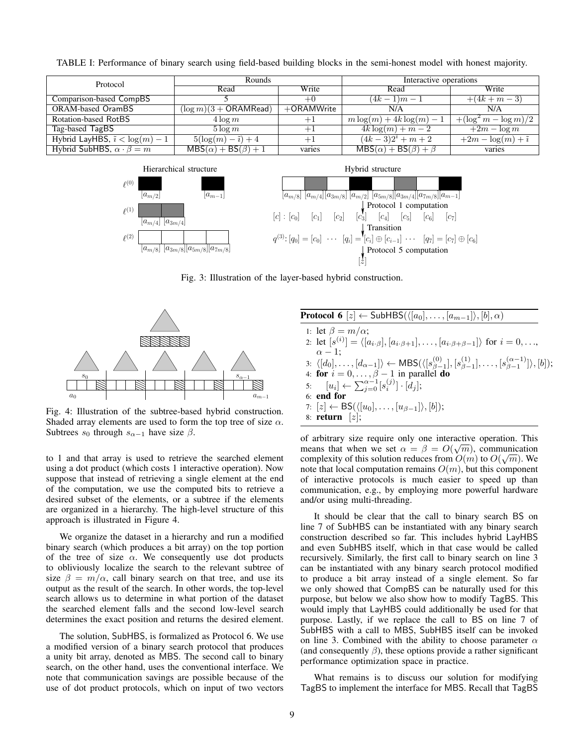| Protocol                                 | <b>Rounds</b>                 |              | Interactive operations            |                          |  |
|------------------------------------------|-------------------------------|--------------|-----------------------------------|--------------------------|--|
|                                          | Read                          | Write        | Read                              | Write                    |  |
| Comparison-based CompBS                  |                               | $+0$         | $(4k-1)m-1$                       | $+(4k+m-3)$              |  |
| ORAM-based OramBS                        | $(\log m)(3 + ORAMRead)$      | $+ORAMWrite$ | N/A                               | N/A                      |  |
| Rotation-based RotBS                     | $4\log m$                     | $+1$         | $m \log(m) + 4k \log(m) - 1$      | $+(\log^2 m - \log m)/2$ |  |
| Tag-based TagBS                          | $5 \log m$                    | $+1$         | $4k \log(m) + m - 2$              | $+2m - \log m$           |  |
| Hybrid LayHBS, $\tilde{i} < \log(m) - 1$ | $5(\log(m)-\tilde{i})+4$      | $+1$         | $(4k-3)2^{\tilde{i}} + m + 2$     | $+2m - \log(m) + i$      |  |
| Hybrid SubHBS, $\alpha \cdot \beta = m$  | $MBS(\alpha) + BS(\beta) + 1$ | varies       | $MBS(\alpha) + BS(\beta) + \beta$ | varies                   |  |

TABLE I: Performance of binary search using field-based building blocks in the semi-honest model with honest majority.





Fig. 3: Illustration of the layer-based hybrid construction.



Fig. 4: Illustration of the subtree-based hybrid construction. Shaded array elements are used to form the top tree of size  $\alpha$ . Subtrees  $s_0$  through  $s_{\alpha-1}$  have size  $\beta$ .

to 1 and that array is used to retrieve the searched element using a dot product (which costs 1 interactive operation). Now suppose that instead of retrieving a single element at the end of the computation, we use the computed bits to retrieve a desired subset of the elements, or a subtree if the elements are organized in a hierarchy. The high-level structure of this approach is illustrated in Figure 4.

We organize the dataset in a hierarchy and run a modified binary search (which produces a bit array) on the top portion of the tree of size  $\alpha$ . We consequently use dot products to obliviously localize the search to the relevant subtree of size  $\beta = m/\alpha$ , call binary search on that tree, and use its output as the result of the search. In other words, the top-level search allows us to determine in what portion of the dataset the searched element falls and the second low-level search determines the exact position and returns the desired element.

The solution, SubHBS, is formalized as Protocol 6. We use a modified version of a binary search protocol that produces a unity bit array, denoted as MBS. The second call to binary search, on the other hand, uses the conventional interface. We note that communication savings are possible because of the use of dot product protocols, which on input of two vectors

| <b>Protocol 6</b> [z] $\leftarrow$ SubHBS( $\langle [a_0], \ldots, [a_{m-1}]\rangle$ , $[b], \alpha$ )                                                                          |  |
|---------------------------------------------------------------------------------------------------------------------------------------------------------------------------------|--|
| 1: let $\beta = m/\alpha$ ;                                                                                                                                                     |  |
| 2: let $[s^{(i)}] = \langle [a_{i\cdot\beta}], [a_{i\cdot\beta+1}], \dots, [a_{i\cdot\beta+\beta-1}] \rangle$ for $i = 0, \dots,$                                               |  |
| $\alpha - 1$ :                                                                                                                                                                  |  |
| 3: $\langle [d_0], \ldots, [d_{\alpha-1}] \rangle \leftarrow \mathsf{MBS}(\langle [s_{\beta-1}^{(0)}], [s_{\beta-1}^{(1)}], \ldots, [s_{\beta-1}^{(\alpha-1)}] \rangle, [b])$ ; |  |
| 4: for $i = 0, \ldots, \beta - 1$ in parallel do                                                                                                                                |  |
| 5: $[u_i] \leftarrow \sum_{i=0}^{\alpha-1} [s_i^{(j)}] \cdot [\hat{d}_j];$                                                                                                      |  |
| $6:$ end for                                                                                                                                                                    |  |
| 7: $[z] \leftarrow BS(\langle [u_0], \ldots, [u_{\beta-1}]\rangle, [b])$ ;                                                                                                      |  |
| 8: <b>return</b> $[z]$ ;                                                                                                                                                        |  |

of arbitrary size require only one interactive operation. This means that when we set  $\alpha = \beta = O(\sqrt{m})$ , communication complexity of this solution reduces from  $O(m)$  to  $O(\sqrt{m})$ . We note that local computation remains  $O(m)$ , but this component of interactive protocols is much easier to speed up than communication, e.g., by employing more powerful hardware and/or using multi-threading.

It should be clear that the call to binary search BS on line 7 of SubHBS can be instantiated with any binary search construction described so far. This includes hybrid LayHBS and even SubHBS itself, which in that case would be called recursively. Similarly, the first call to binary search on line 3 can be instantiated with any binary search protocol modified to produce a bit array instead of a single element. So far we only showed that CompBS can be naturally used for this purpose, but below we also show how to modify TagBS. This would imply that LayHBS could additionally be used for that purpose. Lastly, if we replace the call to BS on line 7 of SubHBS with a call to MBS, SubHBS itself can be invoked on line 3. Combined with the ability to choose parameter  $\alpha$ (and consequently  $\beta$ ), these options provide a rather significant performance optimization space in practice.

What remains is to discuss our solution for modifying TagBS to implement the interface for MBS. Recall that TagBS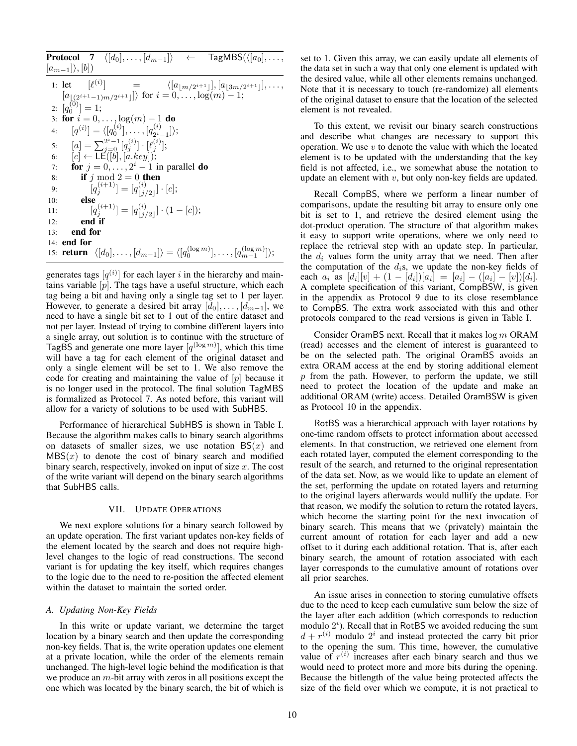|     | <b>Protocol</b> 7 $\langle [d_0], \ldots, [d_{m-1}] \rangle$ $\leftarrow$ TagMBS( $\langle [a_0], \ldots,$                     |
|-----|--------------------------------------------------------------------------------------------------------------------------------|
|     | $[a_{m-1}]\rangle, [b]$                                                                                                        |
|     | 1: let $[\ell^{(i)}]$ = $\langle [a_{\lfloor m/2^{i+1} \rfloor}], [a_{\lfloor 3m/2^{i+1} \rfloor}], \ldots,$                   |
|     | $[a_{\lfloor (2^{i+1}-1)m/2^{i+1}\rfloor}]\rangle$ for $i=0,\ldots,\log(m)-1;$                                                 |
|     | 2: $[q_0^{(0)}] = 1$ ;                                                                                                         |
|     | 3: for $i = 0, , \log(m) - 1$ do                                                                                               |
| 4:  | $[q^{(i)}] = \langle [q_0^{(i)}], \ldots, [q_{2i-1}^{(i)}] \rangle;$                                                           |
| 5:  | $[a] = \sum_{i=0}^{2^{i}-1} [q_i^{(i)}] \cdot [\ell_i^{(i)}];$                                                                 |
| 6:  | $[c] \leftarrow \mathsf{LE}([b], [a. key]);$                                                                                   |
| 7:  | <b>for</b> $j = 0, \ldots, 2^i - 1$ in parallel <b>do</b>                                                                      |
| 8:  | if j mod $2 = 0$ then                                                                                                          |
| 9:  | $[q_i^{(i+1)}] = [q_{\perp i/2\perp}^{(i)}] \cdot [c];$                                                                        |
| 10: | else                                                                                                                           |
| 11: | $[q_i^{(i+1)}] = [q_{i \, i/2}^{(i)}] \cdot (1 - [c]);$                                                                        |
| 12: | end if                                                                                                                         |
| 13: | end for                                                                                                                        |
|     | $14:$ end for                                                                                                                  |
|     | 15: <b>return</b> $\langle [d_0], \ldots, [d_{m-1}] \rangle = \langle [q_0^{(\log m)}], \ldots, [q_{m-1}^{(\log m)}] \rangle;$ |

generates tags  $[q^{(i)}]$  for each layer i in the hierarchy and maintains variable  $[p]$ . The tags have a useful structure, which each tag being a bit and having only a single tag set to 1 per layer. However, to generate a desired bit array  $[d_0], \ldots, [d_{m-1}],$  we need to have a single bit set to 1 out of the entire dataset and not per layer. Instead of trying to combine different layers into a single array, out solution is to continue with the structure of TagBS and generate one more layer  $[q^{(\log m)}]$ , which this time will have a tag for each element of the original dataset and only a single element will be set to 1. We also remove the code for creating and maintaining the value of  $[p]$  because it is no longer used in the protocol. The final solution TagMBS is formalized as Protocol 7. As noted before, this variant will allow for a variety of solutions to be used with SubHBS.

Performance of hierarchical SubHBS is shown in Table I. Because the algorithm makes calls to binary search algorithms on datasets of smaller sizes, we use notation  $BS(x)$  and  $MBS(x)$  to denote the cost of binary search and modified binary search, respectively, invoked on input of size  $x$ . The cost of the write variant will depend on the binary search algorithms that SubHBS calls.

# VII. UPDATE OPERATIONS

We next explore solutions for a binary search followed by an update operation. The first variant updates non-key fields of the element located by the search and does not require highlevel changes to the logic of read constructions. The second variant is for updating the key itself, which requires changes to the logic due to the need to re-position the affected element within the dataset to maintain the sorted order.

## *A. Updating Non-Key Fields*

In this write or update variant, we determine the target location by a binary search and then update the corresponding non-key fields. That is, the write operation updates one element at a private location, while the order of the elements remain unchanged. The high-level logic behind the modification is that we produce an m-bit array with zeros in all positions except the one which was located by the binary search, the bit of which is set to 1. Given this array, we can easily update all elements of the data set in such a way that only one element is updated with the desired value, while all other elements remains unchanged. Note that it is necessary to touch (re-randomize) all elements of the original dataset to ensure that the location of the selected element is not revealed.

To this extent, we revisit our binary search constructions and describe what changes are necessary to support this operation. We use  $v$  to denote the value with which the located element is to be updated with the understanding that the key field is not affected, i.e., we somewhat abuse the notation to update an element with  $v$ , but only non-key fields are updated.

Recall CompBS, where we perform a linear number of comparisons, update the resulting bit array to ensure only one bit is set to 1, and retrieve the desired element using the dot-product operation. The structure of that algorithm makes it easy to support write operations, where we only need to replace the retrieval step with an update step. In particular, the  $d_i$  values form the unity array that we need. Then after the computation of the  $d_i$ s, we update the non-key fields of each  $a_i$  as  $[d_i][v] + (1 - [d_i])[a_i] = [a_i] - ([a_i] - [v])[d_i]$ . A complete specification of this variant, CompBSW, is given in the appendix as Protocol 9 due to its close resemblance to CompBS. The extra work associated with this and other protocols compared to the read versions is given in Table I.

Consider OramBS next. Recall that it makes  $\log m$  ORAM (read) accesses and the element of interest is guaranteed to be on the selected path. The original OramBS avoids an extra ORAM access at the end by storing additional element  $p$  from the path. However, to perform the update, we still need to protect the location of the update and make an additional ORAM (write) access. Detailed OramBSW is given as Protocol 10 in the appendix.

RotBS was a hierarchical approach with layer rotations by one-time random offsets to protect information about accessed elements. In that construction, we retrieved one element from each rotated layer, computed the element corresponding to the result of the search, and returned to the original representation of the data set. Now, as we would like to update an element of the set, performing the update on rotated layers and returning to the original layers afterwards would nullify the update. For that reason, we modify the solution to return the rotated layers, which become the starting point for the next invocation of binary search. This means that we (privately) maintain the current amount of rotation for each layer and add a new offset to it during each additional rotation. That is, after each binary search, the amount of rotation associated with each layer corresponds to the cumulative amount of rotations over all prior searches.

An issue arises in connection to storing cumulative offsets due to the need to keep each cumulative sum below the size of the layer after each addition (which corresponds to reduction modulo  $2<sup>i</sup>$ ). Recall that in RotBS we avoided reducing the sum  $d + r^{(i)}$  modulo  $2^i$  and instead protected the carry bit prior to the opening the sum. This time, however, the cumulative value of  $r^{(i)}$  increases after each binary search and thus we would need to protect more and more bits during the opening. Because the bitlength of the value being protected affects the size of the field over which we compute, it is not practical to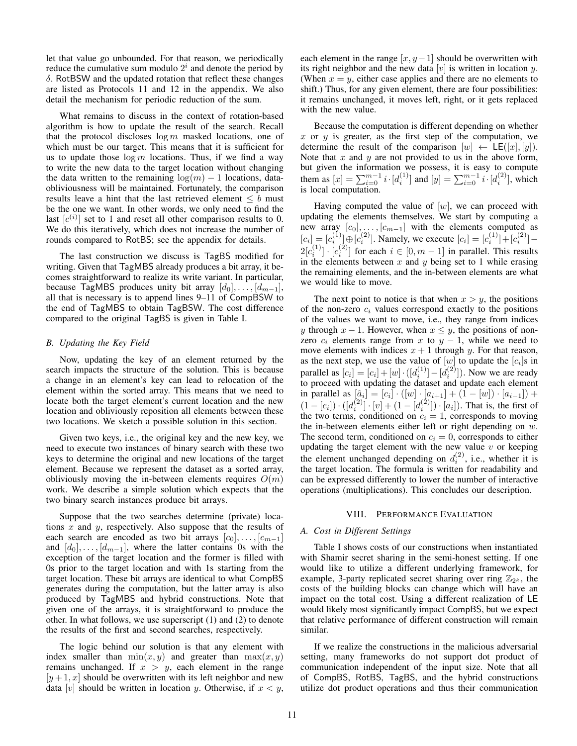let that value go unbounded. For that reason, we periodically reduce the cumulative sum modulo  $2^i$  and denote the period by  $\delta$ . RotBSW and the updated rotation that reflect these changes are listed as Protocols 11 and 12 in the appendix. We also detail the mechanism for periodic reduction of the sum.

What remains to discuss in the context of rotation-based algorithm is how to update the result of the search. Recall that the protocol discloses  $\log m$  masked locations, one of which must be our target. This means that it is sufficient for us to update those  $\log m$  locations. Thus, if we find a way to write the new data to the target location without changing the data written to the remaining  $\log(m) - 1$  locations, dataobliviousness will be maintained. Fortunately, the comparison results leave a hint that the last retrieved element  $\leq b$  must be the one we want. In other words, we only need to find the last  $[c^{(i)}]$  set to 1 and reset all other comparison results to 0. We do this iteratively, which does not increase the number of rounds compared to RotBS; see the appendix for details.

The last construction we discuss is TagBS modified for writing. Given that TagMBS already produces a bit array, it becomes straightforward to realize its write variant. In particular, because TagMBS produces unity bit array  $[d_0], \ldots, [d_{m-1}],$ all that is necessary is to append lines 9–11 of CompBSW to the end of TagMBS to obtain TagBSW. The cost difference compared to the original TagBS is given in Table I.

## *B. Updating the Key Field*

Now, updating the key of an element returned by the search impacts the structure of the solution. This is because a change in an element's key can lead to relocation of the element within the sorted array. This means that we need to locate both the target element's current location and the new location and obliviously reposition all elements between these two locations. We sketch a possible solution in this section.

Given two keys, i.e., the original key and the new key, we need to execute two instances of binary search with these two keys to determine the original and new locations of the target element. Because we represent the dataset as a sorted array, obliviously moving the in-between elements requires  $O(m)$ work. We describe a simple solution which expects that the two binary search instances produce bit arrays.

Suppose that the two searches determine (private) locations  $x$  and  $y$ , respectively. Also suppose that the results of each search are encoded as two bit arrays  $[c_0], \ldots, [c_{m-1}]$ and  $[d_0], \ldots, [d_{m-1}]$ , where the latter contains 0s with the exception of the target location and the former is filled with 0s prior to the target location and with 1s starting from the target location. These bit arrays are identical to what CompBS generates during the computation, but the latter array is also produced by TagMBS and hybrid constructions. Note that given one of the arrays, it is straightforward to produce the other. In what follows, we use superscript (1) and (2) to denote the results of the first and second searches, respectively.

The logic behind our solution is that any element with index smaller than  $min(x, y)$  and greater than  $max(x, y)$ remains unchanged. If  $x > y$ , each element in the range  $[y+1, x]$  should be overwritten with its left neighbor and new data [v] should be written in location y. Otherwise, if  $x < y$ ,

each element in the range  $[x, y-1]$  should be overwritten with its right neighbor and the new data  $[v]$  is written in location y. (When  $x = y$ , either case applies and there are no elements to shift.) Thus, for any given element, there are four possibilities: it remains unchanged, it moves left, right, or it gets replaced with the new value.

Because the computation is different depending on whether x or  $y$  is greater, as the first step of the computation, we determine the result of the comparison  $[w] \leftarrow \mathsf{LE}([x], [y])$ . Note that  $x$  and  $y$  are not provided to us in the above form, but given the information we possess, it is easy to compute them as  $[x] = \sum_{i=0}^{m-1} i \cdot [d_i^{(1)}]$  and  $[y] = \sum_{i=0}^{m-1} i \cdot [d_i^{(2)}]$ , which is local computation.

Having computed the value of  $[w]$ , we can proceed with updating the elements themselves. We start by computing a new array  $[c_0], \ldots, [c_{m-1}]$  with the elements computed as  $[c_i] = [c_i^{(1)}] \oplus [c_i^{(2)}]$ . Namely, we execute  $[c_i] = [c_i^{(1)}] + [c_i^{(2)}]$  $2[c_i^{(1)}] \cdot [c_i^{(2)}]$  for each  $i \in [0, m-1]$  in parallel. This results in the elements between  $x$  and  $y$  being set to 1 while erasing the remaining elements, and the in-between elements are what we would like to move.

The next point to notice is that when  $x > y$ , the positions of the non-zero  $c_i$  values correspond exactly to the positions of the values we want to move, i.e., they range from indices y through  $x - 1$ . However, when  $x \leq y$ , the positions of nonzero  $c_i$  elements range from x to  $y - 1$ , while we need to move elements with indices  $x + 1$  through y. For that reason, as the next step, we use the value of  $[w]$  to update the  $[c_i]$ s in parallel as  $[c_i] = [c_i] + [w] \cdot ([d_i^{(1)}] - [d_i^{(2)}])$ . Now we are ready to proceed with updating the dataset and update each element in parallel as  $[\hat{a}_i] = [c_i] \cdot ([w] \cdot [a_{i+1}] + (1 - [w]) \cdot [a_{i-1}]) +$  $(1-[c_i]) \cdot ([d_i^{(2)}] \cdot [v] + (1-[d_i^{(2)}]) \cdot [a_i])$ . That is, the first of the two terms, conditioned on  $c_i = 1$ , corresponds to moving the in-between elements either left or right depending on w. The second term, conditioned on  $c_i = 0$ , corresponds to either updating the target element with the new value  $v$  or keeping the element unchanged depending on  $d_i^{(2)}$ , i.e., whether it is the target location. The formula is written for readability and can be expressed differently to lower the number of interactive operations (multiplications). This concludes our description.

## VIII. PERFORMANCE EVALUATION

## *A. Cost in Different Settings*

Table I shows costs of our constructions when instantiated with Shamir secret sharing in the semi-honest setting. If one would like to utilize a different underlying framework, for example, 3-party replicated secret sharing over ring  $\mathbb{Z}_{2^k}$ , the costs of the building blocks can change which will have an impact on the total cost. Using a different realization of LE would likely most significantly impact CompBS, but we expect that relative performance of different construction will remain similar.

If we realize the constructions in the malicious adversarial setting, many frameworks do not support dot product of communication independent of the input size. Note that all of CompBS, RotBS, TagBS, and the hybrid constructions utilize dot product operations and thus their communication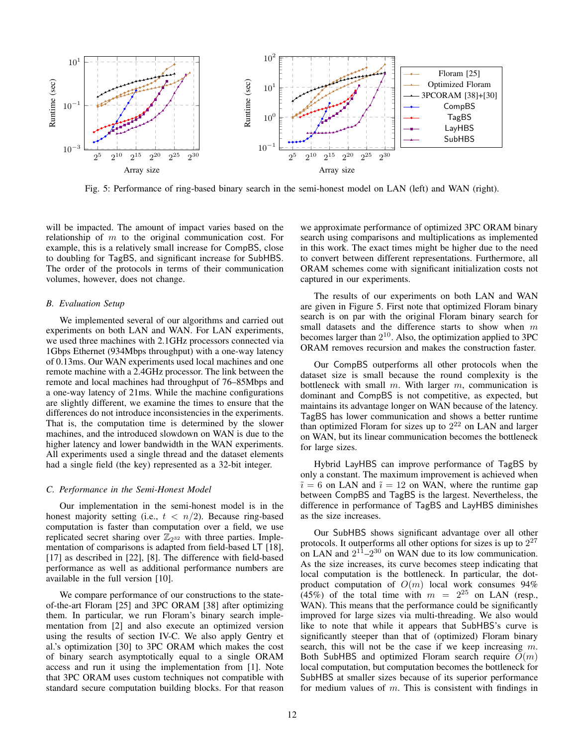

Fig. 5: Performance of ring-based binary search in the semi-honest model on LAN (left) and WAN (right).

will be impacted. The amount of impact varies based on the relationship of  $m$  to the original communication cost. For example, this is a relatively small increase for CompBS, close to doubling for TagBS, and significant increase for SubHBS. The order of the protocols in terms of their communication volumes, however, does not change.

## *B. Evaluation Setup*

We implemented several of our algorithms and carried out experiments on both LAN and WAN. For LAN experiments, we used three machines with 2.1GHz processors connected via 1Gbps Ethernet (934Mbps throughput) with a one-way latency of 0.13ms. Our WAN experiments used local machines and one remote machine with a 2.4GHz processor. The link between the remote and local machines had throughput of 76–85Mbps and a one-way latency of 21ms. While the machine configurations are slightly different, we examine the times to ensure that the differences do not introduce inconsistencies in the experiments. That is, the computation time is determined by the slower machines, and the introduced slowdown on WAN is due to the higher latency and lower bandwidth in the WAN experiments. All experiments used a single thread and the dataset elements had a single field (the key) represented as a 32-bit integer.

## *C. Performance in the Semi-Honest Model*

Our implementation in the semi-honest model is in the honest majority setting (i.e.,  $t < n/2$ ). Because ring-based computation is faster than computation over a field, we use replicated secret sharing over  $\mathbb{Z}_{2^{32}}$  with three parties. Implementation of comparisons is adapted from field-based LT [18], [17] as described in [22], [8]. The difference with field-based performance as well as additional performance numbers are available in the full version [10].

We compare performance of our constructions to the stateof-the-art Floram [25] and 3PC ORAM [38] after optimizing them. In particular, we run Floram's binary search implementation from [2] and also execute an optimized version using the results of section IV-C. We also apply Gentry et al.'s optimization [30] to 3PC ORAM which makes the cost of binary search asymptotically equal to a single ORAM access and run it using the implementation from [1]. Note that 3PC ORAM uses custom techniques not compatible with standard secure computation building blocks. For that reason we approximate performance of optimized 3PC ORAM binary search using comparisons and multiplications as implemented in this work. The exact times might be higher due to the need to convert between different representations. Furthermore, all ORAM schemes come with significant initialization costs not captured in our experiments.

The results of our experiments on both LAN and WAN are given in Figure 5. First note that optimized Floram binary search is on par with the original Floram binary search for small datasets and the difference starts to show when m becomes larger than  $2^{10}$ . Also, the optimization applied to 3PC ORAM removes recursion and makes the construction faster.

Our CompBS outperforms all other protocols when the dataset size is small because the round complexity is the bottleneck with small  $m$ . With larger  $m$ , communication is dominant and CompBS is not competitive, as expected, but maintains its advantage longer on WAN because of the latency. TagBS has lower communication and shows a better runtime than optimized Floram for sizes up to  $2^{22}$  on LAN and larger on WAN, but its linear communication becomes the bottleneck for large sizes.

Hybrid LayHBS can improve performance of TagBS by only a constant. The maximum improvement is achieved when  $\tilde{i} = 6$  on LAN and  $\tilde{i} = 12$  on WAN, where the runtime gap between CompBS and TagBS is the largest. Nevertheless, the difference in performance of TagBS and LayHBS diminishes as the size increases.

Our SubHBS shows significant advantage over all other protocols. It outperforms all other options for sizes is up to  $2^{27}$ on LAN and  $2^{11}$ – $2^{30}$  on WAN due to its low communication. As the size increases, its curve becomes steep indicating that local computation is the bottleneck. In particular, the dotproduct computation of  $O(m)$  local work consumes 94% (45%) of the total time with  $m = 2^{25}$  on LAN (resp., WAN). This means that the performance could be significantly improved for large sizes via multi-threading. We also would like to note that while it appears that SubHBS's curve is significantly steeper than that of (optimized) Floram binary search, this will not be the case if we keep increasing m. Both SubHBS and optimized Floram search require  $O(m)$ local computation, but computation becomes the bottleneck for SubHBS at smaller sizes because of its superior performance for medium values of  $m$ . This is consistent with findings in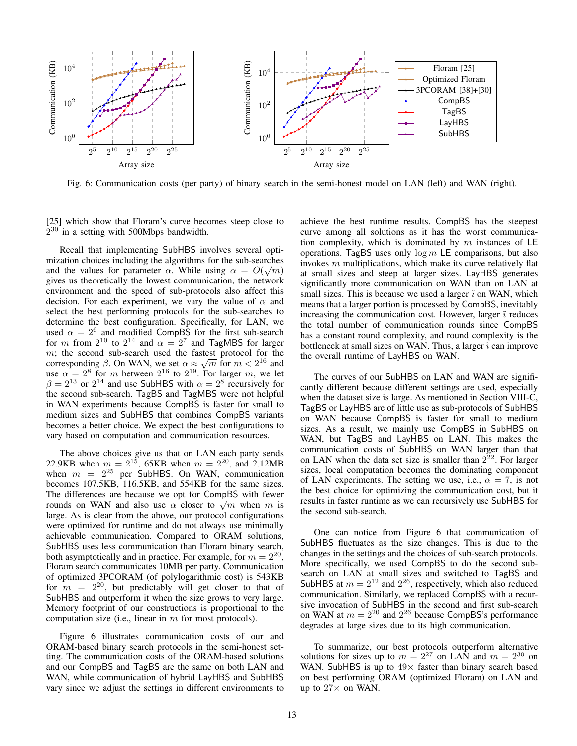

Fig. 6: Communication costs (per party) of binary search in the semi-honest model on LAN (left) and WAN (right).

[25] which show that Floram's curve becomes steep close to  $2^{30}$  in a setting with 500Mbps bandwidth.

Recall that implementing SubHBS involves several optimization choices including the algorithms for the sub-searches and the values for parameter  $\alpha$ . While using  $\alpha = O(\sqrt{m})$ gives us theoretically the lowest communication, the network environment and the speed of sub-protocols also affect this decision. For each experiment, we vary the value of  $\alpha$  and select the best performing protocols for the sub-searches to determine the best configuration. Specifically, for LAN, we used  $\alpha = 2^6$  and modified CompBS for the first sub-search for m from  $2^{10}$  to  $2^{14}$  and  $\alpha = 2^7$  and TagMBS for larger  $m$ ; the second sub-search used the fastest protocol for the m; the second sub-search used the lastest protocol for the corresponding  $\beta$ . On WAN, we set  $\alpha \approx \sqrt{m}$  for  $m < 2^{16}$  and use  $\alpha = 2^8$  for m between  $2^{16}$  to  $2^{19}$ . For larger m, we let  $\beta = 2^{13}$  or  $2^{14}$  and use SubHBS with  $\alpha = 2^8$  recursively for the second sub-search. TagBS and TagMBS were not helpful in WAN experiments because CompBS is faster for small to medium sizes and SubHBS that combines CompBS variants becomes a better choice. We expect the best configurations to vary based on computation and communication resources.

The above choices give us that on LAN each party sends 22.9KB when  $m = 2^{15}$ , 65KB when  $m = 2^{20}$ , and 2.12MB when  $m = 2^{25}$  per SubHBS. On WAN, communication becomes 107.5KB, 116.5KB, and 554KB for the same sizes. The differences are because we opt for CompBS with fewer The differences are because we opt for CompBS with fewer<br>rounds on WAN and also use  $\alpha$  closer to  $\sqrt{m}$  when m is large. As is clear from the above, our protocol configurations were optimized for runtime and do not always use minimally achievable communication. Compared to ORAM solutions, SubHBS uses less communication than Floram binary search, both asymptotically and in practice. For example, for  $m = 2^{20}$ , Floram search communicates 10MB per party. Communication of optimized 3PCORAM (of polylogarithmic cost) is 543KB for  $m = 2^{20}$ , but predictably will get closer to that of SubHBS and outperform it when the size grows to very large. Memory footprint of our constructions is proportional to the computation size (i.e., linear in  $m$  for most protocols).

Figure 6 illustrates communication costs of our and ORAM-based binary search protocols in the semi-honest setting. The communication costs of the ORAM-based solutions and our CompBS and TagBS are the same on both LAN and WAN, while communication of hybrid LayHBS and SubHBS vary since we adjust the settings in different environments to achieve the best runtime results. CompBS has the steepest curve among all solutions as it has the worst communication complexity, which is dominated by  $m$  instances of LE operations. TagBS uses only  $\log m$  LE comparisons, but also invokes  $m$  multiplications, which make its curve relatively flat at small sizes and steep at larger sizes. LayHBS generates significantly more communication on WAN than on LAN at small sizes. This is because we used a larger  $\tilde{i}$  on WAN, which means that a larger portion is processed by CompBS, inevitably increasing the communication cost. However, larger  $\tilde{i}$  reduces the total number of communication rounds since CompBS has a constant round complexity, and round complexity is the bottleneck at small sizes on WAN. Thus, a larger  $\tilde{i}$  can improve the overall runtime of LayHBS on WAN.

The curves of our SubHBS on LAN and WAN are significantly different because different settings are used, especially when the dataset size is large. As mentioned in Section VIII-C, TagBS or LayHBS are of little use as sub-protocols of SubHBS on WAN because CompBS is faster for small to medium sizes. As a result, we mainly use CompBS in SubHBS on WAN, but TagBS and LayHBS on LAN. This makes the communication costs of SubHBS on WAN larger than that on LAN when the data set size is smaller than  $2^{22}$ . For larger sizes, local computation becomes the dominating component of LAN experiments. The setting we use, i.e.,  $\alpha = 7$ , is not the best choice for optimizing the communication cost, but it results in faster runtime as we can recursively use SubHBS for the second sub-search.

One can notice from Figure 6 that communication of SubHBS fluctuates as the size changes. This is due to the changes in the settings and the choices of sub-search protocols. More specifically, we used CompBS to do the second subsearch on LAN at small sizes and switched to TagBS and SubHBS at  $m = 2^{12}$  and  $2^{26}$ , respectively, which also reduced communication. Similarly, we replaced CompBS with a recursive invocation of SubHBS in the second and first sub-search on WAN at  $m = 2^{20}$  and  $2^{26}$  because CompBS's performance degrades at large sizes due to its high communication.

To summarize, our best protocols outperform alternative solutions for sizes up to  $m = 2^{27}$  on LAN and  $m = 2^{30}$  on WAN. SubHBS is up to  $49\times$  faster than binary search based on best performing ORAM (optimized Floram) on LAN and up to  $27\times$  on WAN.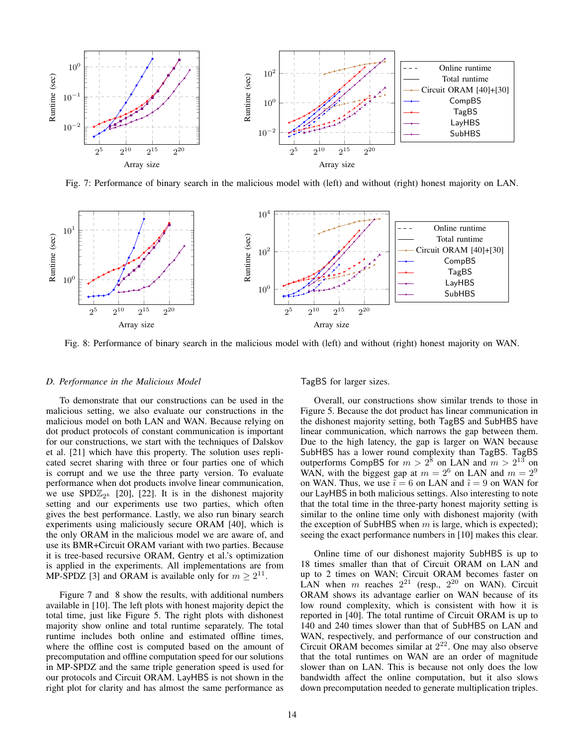

Fig. 7: Performance of binary search in the malicious model with (left) and without (right) honest majority on LAN.



Fig. 8: Performance of binary search in the malicious model with (left) and without (right) honest majority on WAN.

## *D. Performance in the Malicious Model*

To demonstrate that our constructions can be used in the malicious setting, we also evaluate our constructions in the malicious model on both LAN and WAN. Because relying on dot product protocols of constant communication is important for our constructions, we start with the techniques of Dalskov et al. [21] which have this property. The solution uses replicated secret sharing with three or four parties one of which is corrupt and we use the three party version. To evaluate performance when dot products involve linear communication, we use SPD $\mathbb{Z}_{2^k}$  [20], [22]. It is in the dishonest majority setting and our experiments use two parties, which often gives the best performance. Lastly, we also run binary search experiments using maliciously secure ORAM [40], which is the only ORAM in the malicious model we are aware of, and use its BMR+Circuit ORAM variant with two parties. Because it is tree-based recursive ORAM, Gentry et al.'s optimization is applied in the experiments. All implementations are from MP-SPDZ [3] and ORAM is available only for  $m \geq 2^{11}$ .

Figure 7 and 8 show the results, with additional numbers available in [10]. The left plots with honest majority depict the total time, just like Figure 5. The right plots with dishonest majority show online and total runtime separately. The total runtime includes both online and estimated offline times, where the offline cost is computed based on the amount of precomputation and offline computation speed for our solutions in MP-SPDZ and the same triple generation speed is used for our protocols and Circuit ORAM. LayHBS is not shown in the right plot for clarity and has almost the same performance as TagBS for larger sizes.

Overall, our constructions show similar trends to those in Figure 5. Because the dot product has linear communication in the dishonest majority setting, both TagBS and SubHBS have linear communication, which narrows the gap between them. Due to the high latency, the gap is larger on WAN because SubHBS has a lower round complexity than TagBS. TagBS outperforms CompBS for  $m > 2^8$  on LAN and  $m > 2^{13}$  on WAN, with the biggest gap at  $m = 2^6$  on LAN and  $m = 2^9$ on WAN. Thus, we use  $\bar{i} = 6$  on LAN and  $\tilde{i} = 9$  on WAN for our LayHBS in both malicious settings. Also interesting to note that the total time in the three-party honest majority setting is similar to the online time only with dishonest majority (with the exception of SubHBS when  $m$  is large, which is expected); seeing the exact performance numbers in [10] makes this clear.

Online time of our dishonest majority SubHBS is up to 18 times smaller than that of Circuit ORAM on LAN and up to 2 times on WAN; Circuit ORAM becomes faster on LAN when m reaches  $2^{21}$  (resp.,  $2^{20}$  on WAN). Circuit ORAM shows its advantage earlier on WAN because of its low round complexity, which is consistent with how it is reported in [40]. The total runtime of Circuit ORAM is up to 140 and 240 times slower than that of SubHBS on LAN and WAN, respectively, and performance of our construction and Circuit ORAM becomes similar at  $2^{22}$ . One may also observe that the total runtimes on WAN are an order of magnitude slower than on LAN. This is because not only does the low bandwidth affect the online computation, but it also slows down precomputation needed to generate multiplication triples.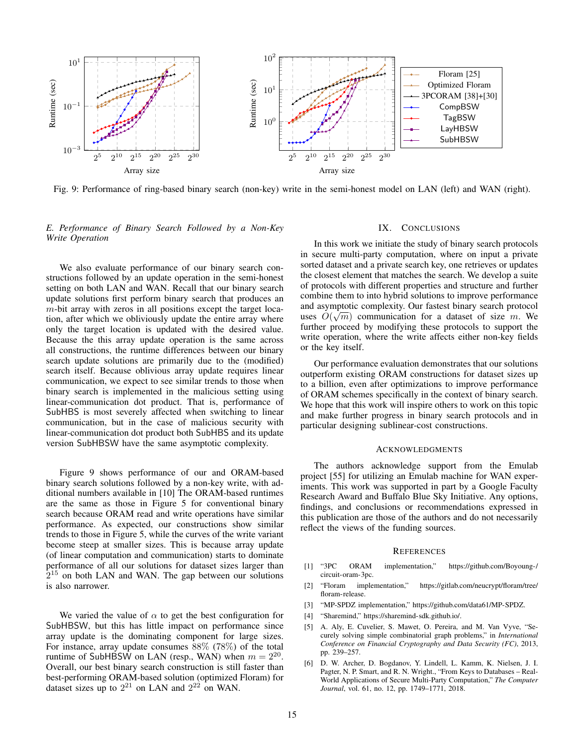

Fig. 9: Performance of ring-based binary search (non-key) write in the semi-honest model on LAN (left) and WAN (right).

# *E. Performance of Binary Search Followed by a Non-Key Write Operation*

We also evaluate performance of our binary search constructions followed by an update operation in the semi-honest setting on both LAN and WAN. Recall that our binary search update solutions first perform binary search that produces an  $m$ -bit array with zeros in all positions except the target location, after which we obliviously update the entire array where only the target location is updated with the desired value. Because the this array update operation is the same across all constructions, the runtime differences between our binary search update solutions are primarily due to the (modified) search itself. Because oblivious array update requires linear communication, we expect to see similar trends to those when binary search is implemented in the malicious setting using linear-communication dot product. That is, performance of SubHBS is most severely affected when switching to linear communication, but in the case of malicious security with linear-communication dot product both SubHBS and its update version SubHBSW have the same asymptotic complexity.

Figure 9 shows performance of our and ORAM-based binary search solutions followed by a non-key write, with additional numbers available in [10] The ORAM-based runtimes are the same as those in Figure 5 for conventional binary search because ORAM read and write operations have similar performance. As expected, our constructions show similar trends to those in Figure 5, while the curves of the write variant become steep at smaller sizes. This is because array update (of linear computation and communication) starts to dominate performance of all our solutions for dataset sizes larger than  $2^{15}$  on both LAN and WAN. The gap between our solutions is also narrower.

We varied the value of  $\alpha$  to get the best configuration for SubHBSW, but this has little impact on performance since array update is the dominating component for large sizes. For instance, array update consumes 88% (78%) of the total runtime of SubHBSW on LAN (resp., WAN) when  $m = 2^{20}$ . Overall, our best binary search construction is still faster than best-performing ORAM-based solution (optimized Floram) for dataset sizes up to  $2^{21}$  on LAN and  $2^{22}$  on WAN.

## IX. CONCLUSIONS

In this work we initiate the study of binary search protocols in secure multi-party computation, where on input a private sorted dataset and a private search key, one retrieves or updates the closest element that matches the search. We develop a suite of protocols with different properties and structure and further combine them to into hybrid solutions to improve performance and asymptotic complexity. Our fastest binary search protocol √ uses  $O(\sqrt{m})$  communication for a dataset of size m. We further proceed by modifying these protocols to support the write operation, where the write affects either non-key fields or the key itself.

Our performance evaluation demonstrates that our solutions outperform existing ORAM constructions for dataset sizes up to a billion, even after optimizations to improve performance of ORAM schemes specifically in the context of binary search. We hope that this work will inspire others to work on this topic and make further progress in binary search protocols and in particular designing sublinear-cost constructions.

## ACKNOWLEDGMENTS

The authors acknowledge support from the Emulab project [55] for utilizing an Emulab machine for WAN experiments. This work was supported in part by a Google Faculty Research Award and Buffalo Blue Sky Initiative. Any options, findings, and conclusions or recommendations expressed in this publication are those of the authors and do not necessarily reflect the views of the funding sources.

### **REFERENCES**

- [1] "3PC ORAM implementation," https://github.com/Boyoung-/ circuit-oram-3pc.
- [2] "Floram implementation," https://gitlab.com/neucrypt/floram/tree/ floram-release.
- [3] "MP-SPDZ implementation," https://github.com/data61/MP-SPDZ.
- [4] "Sharemind," https://sharemind-sdk.github.io/.
- [5] A. Aly, E. Cuvelier, S. Mawet, O. Pereira, and M. Van Vyve, "Securely solving simple combinatorial graph problems," in *International Conference on Financial Cryptography and Data Security (FC)*, 2013, pp. 239–257.
- [6] D. W. Archer, D. Bogdanov, Y. Lindell, L. Kamm, K. Nielsen, J. I. Pagter, N. P. Smart, and R. N. Wright., "From Keys to Databases – Real-World Applications of Secure Multi-Party Computation," *The Computer Journal*, vol. 61, no. 12, pp. 1749–1771, 2018.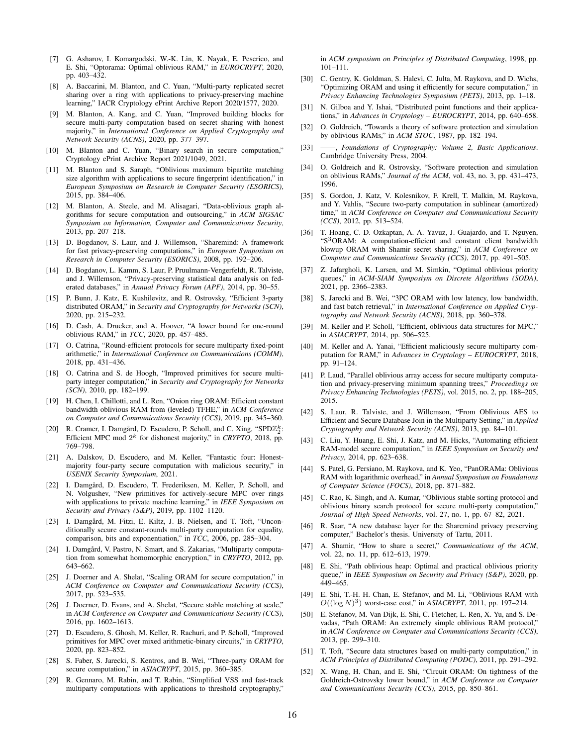- [7] G. Asharov, I. Komargodski, W.-K. Lin, K. Nayak, E. Peserico, and E. Shi, "Optorama: Optimal oblivious RAM," in *EUROCRYPT*, 2020, pp. 403–432.
- [8] A. Baccarini, M. Blanton, and C. Yuan, "Multi-party replicated secret sharing over a ring with applications to privacy-preserving machine learning," IACR Cryptology ePrint Archive Report 2020/1577, 2020.
- [9] M. Blanton, A. Kang, and C. Yuan, "Improved building blocks for secure multi-party computation based on secret sharing with honest majority," in *International Conference on Applied Cryptography and Network Security (ACNS)*, 2020, pp. 377–397.
- [10] M. Blanton and C. Yuan, "Binary search in secure computation," Cryptology ePrint Archive Report 2021/1049, 2021.
- [11] M. Blanton and S. Saraph, "Oblivious maximum bipartite matching size algorithm with applications to secure fingerprint identification," in *European Symposium on Research in Computer Security (ESORICS)*, 2015, pp. 384–406.
- [12] M. Blanton, A. Steele, and M. Alisagari, "Data-oblivious graph algorithms for secure computation and outsourcing," in *ACM SIGSAC Symposium on Information, Computer and Communications Security*, 2013, pp. 207–218.
- [13] D. Bogdanov, S. Laur, and J. Willemson, "Sharemind: A framework for fast privacy-preserving computations," in *European Symposium on Research in Computer Security (ESORICS)*, 2008, pp. 192–206.
- [14] D. Bogdanov, L. Kamm, S. Laur, P. Pruulmann-Vengerfeldt, R. Talviste, and J. Willemson, "Privacy-preserving statistical data analysis on federated databases," in *Annual Privacy Forum (APF)*, 2014, pp. 30–55.
- [15] P. Bunn, J. Katz, E. Kushilevitz, and R. Ostrovsky, "Efficient 3-party distributed ORAM," in *Security and Cryptography for Networks (SCN)*, 2020, pp. 215–232.
- [16] D. Cash, A. Drucker, and A. Hoover, "A lower bound for one-round oblivious RAM," in *TCC*, 2020, pp. 457–485.
- [17] O. Catrina, "Round-efficient protocols for secure multiparty fixed-point arithmetic," in *International Conference on Communications (COMM)*, 2018, pp. 431–436.
- [18] O. Catrina and S. de Hoogh, "Improved primitives for secure multiparty integer computation," in *Security and Cryptography for Networks (SCN)*, 2010, pp. 182–199.
- [19] H. Chen, I. Chillotti, and L. Ren, "Onion ring ORAM: Efficient constant bandwidth oblivious RAM from (leveled) TFHE," in *ACM Conference on Computer and Communications Security (CCS)*, 2019, pp. 345–360.
- [20] R. Cramer, I. Damgård, D. Escudero, P. Scholl, and C. Xing, "SPD $\mathbb{Z}_2^k$ : Efficient MPC mod  $2^k$  for dishonest majority," in *CRYPTO*, 2018, pp. 769–798.
- [21] A. Dalskov, D. Escudero, and M. Keller, "Fantastic four: Honestmajority four-party secure computation with malicious security," in *USENIX Security Symposium*, 2021.
- [22] I. Damgård, D. Escudero, T. Frederiksen, M. Keller, P. Scholl, and N. Volgushev, "New primitives for actively-secure MPC over rings with applications to private machine learning," in *IEEE Symposium on Security and Privacy (S&P)*, 2019, pp. 1102–1120.
- [23] I. Damgård, M. Fitzi, E. Kiltz, J. B. Nielsen, and T. Toft, "Unconditionally secure constant-rounds multi-party computation for equality, comparison, bits and exponentiation," in *TCC*, 2006, pp. 285–304.
- [24] I. Damgård, V. Pastro, N. Smart, and S. Zakarias, "Multiparty computation from somewhat homomorphic encryption," in *CRYPTO*, 2012, pp. 643–662.
- [25] J. Doerner and A. Shelat, "Scaling ORAM for secure computation," in *ACM Conference on Computer and Communications Security (CCS)*, 2017, pp. 523–535.
- [26] J. Doerner, D. Evans, and A. Shelat, "Secure stable matching at scale," in *ACM Conference on Computer and Communications Security (CCS)*, 2016, pp. 1602–1613.
- [27] D. Escudero, S. Ghosh, M. Keller, R. Rachuri, and P. Scholl, "Improved primitives for MPC over mixed arithmetic-binary circuits," in *CRYPTO*, 2020, pp. 823–852.
- [28] S. Faber, S. Jarecki, S. Kentros, and B. Wei, "Three-party ORAM for secure computation," in *ASIACRYPT*, 2015, pp. 360–385.
- [29] R. Gennaro, M. Rabin, and T. Rabin, "Simplified VSS and fast-track multiparty computations with applications to threshold cryptography,"

in *ACM symposium on Principles of Distributed Computing*, 1998, pp. 101–111.

- [30] C. Gentry, K. Goldman, S. Halevi, C. Julta, M. Raykova, and D. Wichs, "Optimizing ORAM and using it efficiently for secure computation," in *Privacy Enhancing Technologies Symposium (PETS)*, 2013, pp. 1–18.
- N. Gilboa and Y. Ishai, "Distributed point functions and their applications," in *Advances in Cryptology – EUROCRYPT*, 2014, pp. 640–658.
- [32] O. Goldreich, "Towards a theory of software protection and simulation by oblivious RAMs," in *ACM STOC*, 1987, pp. 182–194.
- [33] ——, *Foundations of Cryptography: Volume 2, Basic Applications*. Cambridge University Press, 2004.
- [34] O. Goldreich and R. Ostrovsky, "Software protection and simulation on oblivious RAMs," *Journal of the ACM*, vol. 43, no. 3, pp. 431–473, 1996.
- [35] S. Gordon, J. Katz, V. Kolesnikov, F. Krell, T. Malkin, M. Raykova, and Y. Vahlis, "Secure two-party computation in sublinear (amortized) time," in *ACM Conference on Computer and Communications Security (CCS)*, 2012, pp. 513–524.
- [36] T. Hoang, C. D. Ozkaptan, A. A. Yavuz, J. Guajardo, and T. Nguyen, "S<sup>3</sup>ORAM: A computation-efficient and constant client bandwidth blowup ORAM with Shamir secret sharing," in *ACM Conference on Computer and Communications Security (CCS)*, 2017, pp. 491–505.
- [37] Z. Jafargholi, K. Larsen, and M. Simkin, "Optimal oblivious priority queues," in *ACM-SIAM Symposiym on Discrete Algorithms (SODA)*, 2021, pp. 2366–2383.
- [38] S. Jarecki and B. Wei, "3PC ORAM with low latency, low bandwidth, and fast batch retrieval," in *International Conference on Applied Cryptography and Network Security (ACNS)*, 2018, pp. 360–378.
- [39] M. Keller and P. Scholl, "Efficient, oblivious data structures for MPC," in *ASIACRYPT*, 2014, pp. 506–525.
- [40] M. Keller and A. Yanai, "Efficient maliciously secure multiparty computation for RAM," in *Advances in Cryptology – EUROCRYPT*, 2018, pp. 91–124.
- [41] P. Laud, "Parallel oblivious array access for secure multiparty computation and privacy-preserving minimum spanning trees," *Proceedings on Privacy Enhancing Technologies (PETS)*, vol. 2015, no. 2, pp. 188–205, 2015.
- [42] S. Laur, R. Talviste, and J. Willemson, "From Oblivious AES to Efficient and Secure Database Join in the Multiparty Setting," in *Applied Cryptography and Network Security (ACNS)*, 2013, pp. 84–101.
- [43] C. Liu, Y. Huang, E. Shi, J. Katz, and M. Hicks, "Automating efficient RAM-model secure computation," in *IEEE Symposium on Security and Privacy*, 2014, pp. 623–638.
- [44] S. Patel, G. Persiano, M. Raykova, and K. Yeo, "PanORAMa: Oblivious RAM with logarithmic overhead," in *Annual Symposium on Foundations of Computer Science (FOCS)*, 2018, pp. 871–882.
- [45] C. Rao, K. Singh, and A. Kumar, "Oblivious stable sorting protocol and oblivious binary search protocol for secure multi-party computation," *Journal of High Speed Networks*, vol. 27, no. 1, pp. 67–82, 2021.
- [46] R. Saar, "A new database layer for the Sharemind privacy preserving computer," Bachelor's thesis. University of Tartu, 2011.
- [47] A. Shamir, "How to share a secret," *Communications of the ACM*, vol. 22, no. 11, pp. 612–613, 1979.
- [48] E. Shi, "Path oblivious heap: Optimal and practical oblivious priority queue," in *IEEE Symposium on Security and Privacy (S&P)*, 2020, pp. 449–465.
- [49] E. Shi, T.-H. H. Chan, E. Stefanov, and M. Li, "Oblivious RAM with  $O((\log N)^3)$  worst-case cost," in *ASIACRYPT*, 2011, pp. 197–214.
- [50] E. Stefanov, M. Van Dijk, E. Shi, C. Fletcher, L. Ren, X. Yu, and S. Devadas, "Path ORAM: An extremely simple oblivious RAM protocol," in *ACM Conference on Computer and Communications Security (CCS)*, 2013, pp. 299–310.
- [51] T. Toft, "Secure data structures based on multi-party computation," in *ACM Principles of Distributed Computing (PODC)*, 2011, pp. 291–292.
- [52] X. Wang, H. Chan, and E. Shi, "Circuit ORAM: On tightness of the Goldreich-Ostrovsky lower bound," in *ACM Conference on Computer and Communications Security (CCS)*, 2015, pp. 850–861.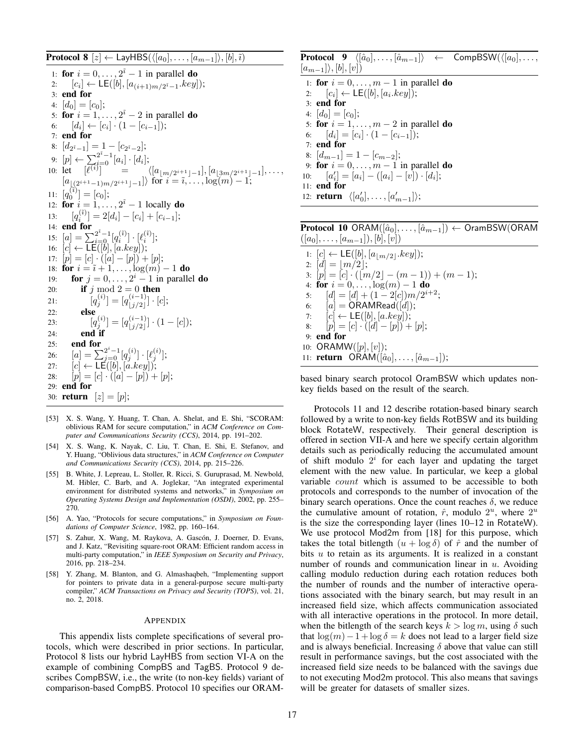**Protocol 8**  $[z] \leftarrow$  LayHBS( $\langle [a_0], \ldots, [a_{m-1}]\rangle, [b], \tilde{i}$ )

1: for  $i = 0, \ldots, 2^{\tilde{i}} - 1$  in parallel do 2:  $[c_i] \leftarrow \mathsf{LE}([b], [a_{(i+1)m/2^{i}-1}.key]);$ 3: end for 4:  $[d_0] = [c_0]$ ; 5: for  $i = 1, \ldots, 2^{\tilde{i}} - 2$  in parallel do 6:  $[d_i] \leftarrow [c_i] \cdot (1 - [c_{i-1}])$ ; 7: end for 8:  $[d_{2^{\tilde{i}}-1}]=1-[c_{2^{\tilde{i}}-2}];$ 9:  $[p] \leftarrow \sum_{i=0}^{2^{\tilde{i}}-1} [a_i] \cdot [d_i];$ 10: let  $[\ell^{(i)}]$  =  $\langle [a_{\lfloor m/2^{i+1}\rfloor-1}], [a_{\lfloor 3m/2^{i+1}\rfloor-1}], \ldots,$  $[a_{(2^{i+1}-1)m/2^{i+1}-1}]$ } for  $i = \tilde{i}, \ldots, \log(m) - 1;$ 11:  $[q_0^{(\tilde{i})}] = [c_0];$ 12: for  $i = 1, \ldots, 2^{\tilde{i}} - 1$  locally do 13:  $[q_i^{(i)}]$ <br>14: **end for**  $\binom{(\tilde{i})}{i} = 2[d_i] - [c_i] + [c_{i-1}];$ 15:  $[a] = \sum_{i=0}^{2^{i}-1} [q_i^{(i)}] \cdot [\ell_i^{(i)}];$ 16:  $[c] \leftarrow \mathsf{LE}([\check{b}], [a.key])$ ; 17:  $[p] = [c] \cdot ([a] - [p]) + [p];$ 18: **for**  $i = \tilde{i} + 1, \ldots, \log(m) - 1$  **do** 19: **for**  $j = 0, \ldots, 2^i - 1$  in parallel **do** 20: **if**  $j \mod 2 = 0$  then 21:  $[q_j^{(i)}] = [q_{j/2}^{(i-1)}]$  $\binom{(i-1)}{|j/2|} \cdot [c];$ 22: else 23:  $[q_j^{(i)}] = [q_{j/2}^{(i-1)}]$  $\binom{(i-1)}{j/2} \cdot (1-[c]);$  $24:$  end if 25: end for 26:  $[a] = \sum_{j=0}^{2^i-1} [q_j^{(i)}] \cdot [\ell_j^{(i)}];$ 27:  $[c] \leftarrow \mathsf{LE}([b], [a. key]);$ 28:  $[p] = [c] \cdot ([a] - [p]) + [p];$ 29: end for 30: **return**  $[z] = [p];$ 

- [53] X. S. Wang, Y. Huang, T. Chan, A. Shelat, and E. Shi, "SCORAM: oblivious RAM for secure computation," in *ACM Conference on Computer and Communications Security (CCS)*, 2014, pp. 191–202.
- [54] X. S. Wang, K. Nayak, C. Liu, T. Chan, E. Shi, E. Stefanov, and Y. Huang, "Oblivious data structures," in *ACM Conference on Computer and Communications Security (CCS)*, 2014, pp. 215–226.
- [55] B. White, J. Lepreau, L. Stoller, R. Ricci, S. Guruprasad, M. Newbold, M. Hibler, C. Barb, and A. Joglekar, "An integrated experimental environment for distributed systems and networks," in *Symposium on Operating Systems Design and Implementation (OSDI)*, 2002, pp. 255– 270.
- [56] A. Yao, "Protocols for secure computations," in *Symposium on Foundations of Computer Science*, 1982, pp. 160–164.
- [57] S. Zahur, X. Wang, M. Raykova, A. Gascón, J. Doerner, D. Evans, and J. Katz, "Revisiting square-root ORAM: Efficient random access in multi-party computation," in *IEEE Symposium on Security and Privacy*, 2016, pp. 218–234.
- [58] Y. Zhang, M. Blanton, and G. Almashaqbeh, "Implementing support for pointers to private data in a general-purpose secure multi-party compiler," *ACM Transactions on Privacy and Security (TOPS)*, vol. 21, no. 2, 2018.

#### APPENDIX

This appendix lists complete specifications of several protocols, which were described in prior sections. In particular, Protocol 8 lists our hybrid LayHBS from section VI-A on the example of combining CompBS and TagBS. Protocol 9 describes CompBSW, i.e., the write (to non-key fields) variant of comparison-based CompBS. Protocol 10 specifies our ORAM-

**Protocol 9**  $\langle [\hat{a}_0], \ldots, [\hat{a}_{m-1}] \rangle \leftarrow \text{CompBSW}(\langle [a_0], \ldots, [a_{m-1}] \rangle)$  $[a_{m-1}]\rangle$ ,  $[b], [v]$ 1: for  $i = 0, \ldots, m - 1$  in parallel do 2:  $[c_i] \leftarrow \mathsf{LE}([b], [a_i. key]);$ 3: end for 4:  $[d_0] = [c_0]$ ; 5: for  $i = 1, \ldots, m - 2$  in parallel do 6:  $[d_i] = [c_i] \cdot (1 - [c_{i-1}])$ ; 7: end for 8:  $[d_{m-1}] = 1 - [c_{m-2}]$ ; 9: for  $i = 0, \ldots, m - 1$  in parallel do 10:  $[a'_i] = [a_i] - ([a_i] - [v]) \cdot [d_i];$ 11: end for 12: **return**  $\langle [a'_0], \ldots, [a'_{m-1}] \rangle;$ 

Protocol 10 ORAM( $[\hat{a}_0], \ldots, [\hat{a}_{m-1}]$ ) ← OramBSW(ORAM  $([a_0], \ldots, [a_{m-1}]), [b], [v])$ 1:  $[c] \leftarrow \mathsf{LE}([b], [a_{\lfloor m/2 \rfloor}.key]);$ 

2:  $\left[d\right] = \left|m/2\right|;$ 3:  $[p] = [c] \cdot ([m/2] - (m-1)) + (m-1);$ 4: for  $i = 0, \ldots, \log(m) - 1$  do 5:  $[d] = [d] + (1 - 2[c])m/2^{i+2};$ 6:  $[a] = ORAMRead([d]);$ 7:  $[c] \leftarrow \mathsf{LE}([b], [a.key]);$ 8:  $[p] = [c] \cdot ([d] - [p]) + [p];$ 9: end for 10: ORAMW $([p], [v])$ ; 11: **return** ORAM( $[\hat{a}_0], \ldots, [\hat{a}_{m-1}];$ 

based binary search protocol OramBSW which updates nonkey fields based on the result of the search.

Protocols 11 and 12 describe rotation-based binary search followed by a write to non-key fields RotBSW and its building block RotateW, respectively. Their general description is offered in section VII-A and here we specify certain algorithm details such as periodically reducing the accumulated amount of shift modulo  $2^i$  for each layer and updating the target element with the new value. In particular, we keep a global variable *count* which is assumed to be accessible to both protocols and corresponds to the number of invocation of the binary search operations. Once the count reaches  $\delta$ , we reduce the cumulative amount of rotation,  $\hat{r}$ , modulo  $2^u$ , where  $2^u$ is the size the corresponding layer (lines 10–12 in RotateW). We use protocol Mod2m from [18] for this purpose, which takes the total bitlength  $(u + \log \delta)$  of  $\hat{r}$  and the number of bits  $u$  to retain as its arguments. It is realized in a constant number of rounds and communication linear in  $u$ . Avoiding calling modulo reduction during each rotation reduces both the number of rounds and the number of interactive operations associated with the binary search, but may result in an increased field size, which affects communication associated with all interactive operations in the protocol. In more detail, when the bitlength of the search keys  $k > \log m$ , using  $\delta$  such that  $\log(m)-1+\log\delta=k$  does not lead to a larger field size and is always beneficial. Increasing  $\delta$  above that value can still result in performance savings, but the cost associated with the increased field size needs to be balanced with the savings due to not executing Mod2m protocol. This also means that savings will be greater for datasets of smaller sizes.